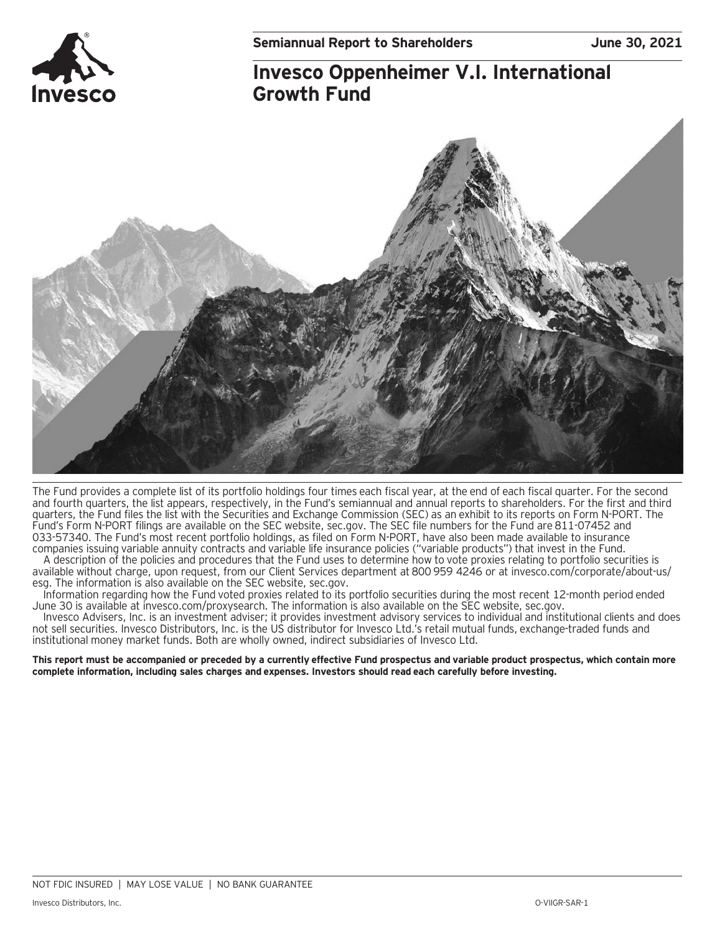

## **Invesco Oppenheimer V.I. International Growth Fund**



The Fund provides a complete list of its portfolio holdings four times each fiscal year, at the end of each fiscal quarter. For the second and fourth quarters, the list appears, respectively, in the Fund's semiannual and annual reports to shareholders. For the first and third quarters, the Fund files the list with the Securities and Exchange Commission (SEC) as an exhibit to its reports on Form N-PORT. The Fund's Form N-PORT filings are available on the SEC website, sec.gov. The SEC file numbers for the Fund are 811-07452 and 033-57340. The Fund's most recent portfolio holdings, as filed on Form N-PORT, have also been made available to insurance companies issuing variable annuity contracts and variable life insurance policies ("variable products") that invest in the Fund.

A description of the policies and procedures that the Fund uses to determine how to vote proxies relating to portfolio securities is available without charge, upon request, from our Client Services department at 800 959 4246 or at invesco.com/corporate/about-us/ esg. The information is also available on the SEC website, sec.gov.

Information regarding how the Fund voted proxies related to its portfolio securities during the most recent 12-month period ended June 30 is available at invesco.com/proxysearch. The information is also available on the SEC website, sec.gov.

Invesco Advisers, Inc. is an investment adviser; it provides investment advisory services to individual and institutional clients and does not sell securities. Invesco Distributors, Inc. is the US distributor for Invesco Ltd.'s retail mutual funds, exchange-traded funds and institutional money market funds. Both are wholly owned, indirect subsidiaries of Invesco Ltd.

**This report must be accompanied or preceded by a currently effective Fund prospectus and variable product prospectus, which contain more complete information, including sales charges and expenses. Investors should read each carefully before investing.**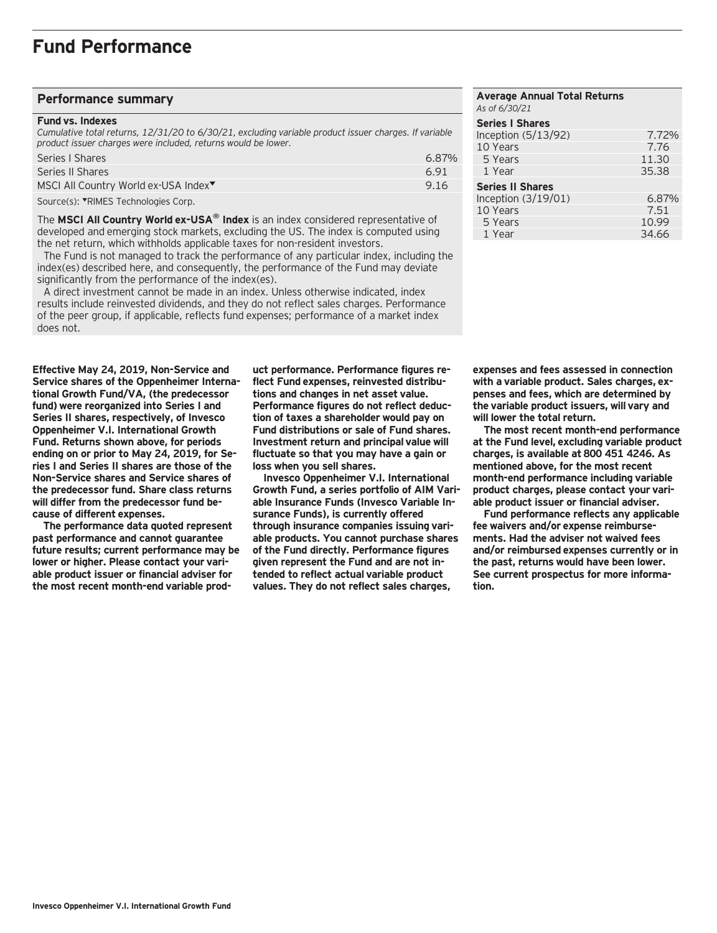### **Performance summary**

#### **Fund vs. Indexes**

*Cumulative total returns, 12/31/20 to 6/30/21, excluding variable product issuer charges. If variable product issuer charges were included, returns would be lower.*

| Series   Shares                                  | $6.87\%$ |
|--------------------------------------------------|----------|
| Series II Shares                                 | 691      |
| MSCI All Country World ex-USA Index <sup>▼</sup> | 9.16     |
|                                                  |          |

Source(s): VRIMES Technologies Corp.

The **MSCI All Country World ex-USA® Index** is an index considered representative of developed and emerging stock markets, excluding the US. The index is computed using the net return, which withholds applicable taxes for non-resident investors.

 The Fund is not managed to track the performance of any particular index, including the index(es) described here, and consequently, the performance of the Fund may deviate significantly from the performance of the index(es).

 A direct investment cannot be made in an index. Unless otherwise indicated, index results include reinvested dividends, and they do not reflect sales charges. Performance of the peer group, if applicable, reflects fund expenses; performance of a market index does not.

**Effective May 24, 2019, Non-Service and Service shares of the Oppenheimer International Growth Fund/VA, (the predecessor fund) were reorganized into Series I and Series II shares, respectively, of Invesco Oppenheimer V.I. International Growth Fund. Returns shown above, for periods ending on or prior to May 24, 2019, for Series I and Series II shares are those of the Non-Service shares and Service shares of the predecessor fund. Share class returns will differ from the predecessor fund because of different expenses.**

**The performance data quoted represent past performance and cannot guarantee future results; current performance may be lower or higher. Please contact your variable product issuer or financial adviser for the most recent month-end variable prod-**

**uct performance. Performance figures reflect Fund expenses, reinvested distributions and changes in net asset value. Performance figures do not reflect deduction of taxes a shareholder would pay on Fund distributions or sale of Fund shares. Investment return and principal value will fluctuate so that you may have a gain or loss when you sell shares.**

**Invesco Oppenheimer V.I. International Growth Fund, a series portfolio of AIM Variable Insurance Funds (Invesco Variable Insurance Funds), is currently offered through insurance companies issuing variable products. You cannot purchase shares of the Fund directly. Performance figures given represent the Fund and are not intended to reflect actual variable product values. They do not reflect sales charges,**

| <b>Average Annual Total Returns</b><br>As of 6/30/21 |       |
|------------------------------------------------------|-------|
| <b>Series I Shares</b>                               |       |
| Inception $(5/13/92)$                                | 7.72% |
| 10 Years                                             | 7.76  |
| 5 Years                                              | 11.30 |
| 1 Year                                               | 35.38 |
| <b>Series II Shares</b>                              |       |
| Inception (3/19/01)                                  | 6.87% |
| 10 Years                                             | 7.51  |
| 5 Years                                              | 10.99 |
| 1 Year                                               | 34.66 |

**expenses and fees assessed in connection with a variable product. Sales charges, expenses and fees, which are determined by the variable product issuers, will vary and will lower the total return.**

**The most recent month-end performance at the Fund level, excluding variable product charges, is available at 800 451 4246. As mentioned above, for the most recent month-end performance including variable product charges, please contact your variable product issuer or financial adviser.**

**Fund performance reflects any applicable fee waivers and/or expense reimbursements. Had the adviser not waived fees and/or reimbursed expenses currently or in the past, returns would have been lower. See current prospectus for more information.**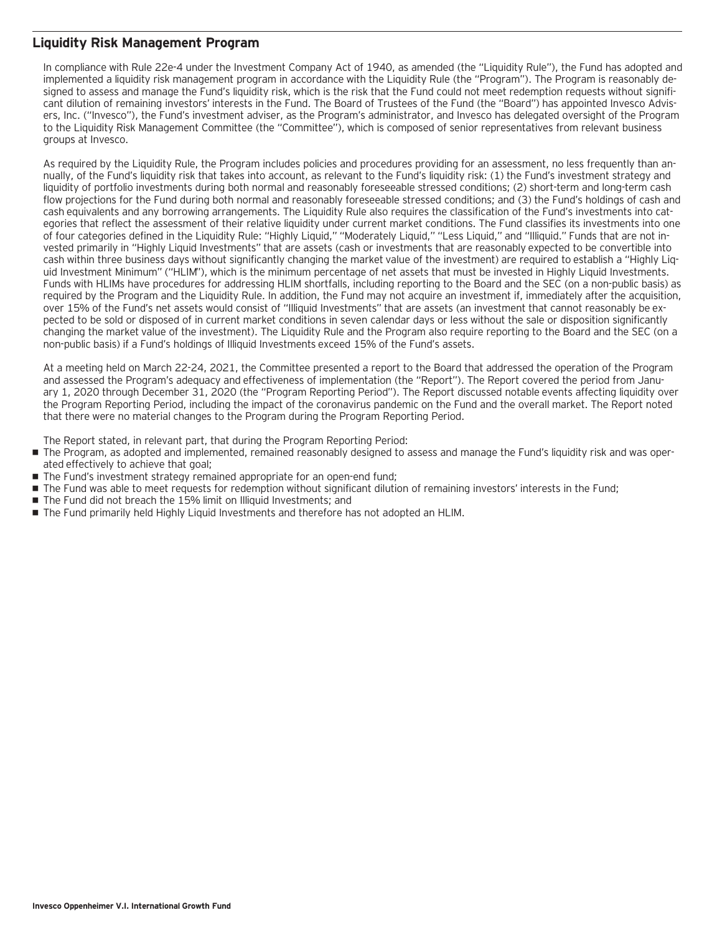### **Liquidity Risk Management Program**

In compliance with Rule 22e-4 under the Investment Company Act of 1940, as amended (the "Liquidity Rule"), the Fund has adopted and implemented a liquidity risk management program in accordance with the Liquidity Rule (the "Program"). The Program is reasonably designed to assess and manage the Fund's liquidity risk, which is the risk that the Fund could not meet redemption requests without significant dilution of remaining investors' interests in the Fund. The Board of Trustees of the Fund (the "Board") has appointed Invesco Advisers, Inc. ("Invesco"), the Fund's investment adviser, as the Program's administrator, and Invesco has delegated oversight of the Program to the Liquidity Risk Management Committee (the "Committee"), which is composed of senior representatives from relevant business groups at Invesco.

As required by the Liquidity Rule, the Program includes policies and procedures providing for an assessment, no less frequently than annually, of the Fund's liquidity risk that takes into account, as relevant to the Fund's liquidity risk: (1) the Fund's investment strategy and liquidity of portfolio investments during both normal and reasonably foreseeable stressed conditions; (2) short-term and long-term cash flow projections for the Fund during both normal and reasonably foreseeable stressed conditions; and (3) the Fund's holdings of cash and cash equivalents and any borrowing arrangements. The Liquidity Rule also requires the classification of the Fund's investments into categories that reflect the assessment of their relative liquidity under current market conditions. The Fund classifies its investments into one of four categories defined in the Liquidity Rule: "Highly Liquid," "Moderately Liquid," "Less Liquid," and "Illiquid." Funds that are not invested primarily in "Highly Liquid Investments" that are assets (cash or investments that are reasonably expected to be convertible into cash within three business days without significantly changing the market value of the investment) are required to establish a "Highly Liquid Investment Minimum" ("HLIM"), which is the minimum percentage of net assets that must be invested in Highly Liquid Investments. Funds with HLIMs have procedures for addressing HLIM shortfalls, including reporting to the Board and the SEC (on a non-public basis) as required by the Program and the Liquidity Rule. In addition, the Fund may not acquire an investment if, immediately after the acquisition, over 15% of the Fund's net assets would consist of "Illiquid Investments" that are assets (an investment that cannot reasonably be expected to be sold or disposed of in current market conditions in seven calendar days or less without the sale or disposition significantly changing the market value of the investment). The Liquidity Rule and the Program also require reporting to the Board and the SEC (on a non-public basis) if a Fund's holdings of Illiquid Investments exceed 15% of the Fund's assets.

At a meeting held on March 22-24, 2021, the Committee presented a report to the Board that addressed the operation of the Program and assessed the Program's adequacy and effectiveness of implementation (the "Report"). The Report covered the period from January 1, 2020 through December 31, 2020 (the "Program Reporting Period"). The Report discussed notable events affecting liquidity over the Program Reporting Period, including the impact of the coronavirus pandemic on the Fund and the overall market. The Report noted that there were no material changes to the Program during the Program Reporting Period.

The Report stated, in relevant part, that during the Program Reporting Period:

- The Program, as adopted and implemented, remained reasonably designed to assess and manage the Fund's liquidity risk and was operated effectively to achieve that goal;
- The Fund's investment strategy remained appropriate for an open-end fund;
- The Fund was able to meet requests for redemption without significant dilution of remaining investors' interests in the Fund;
- The Fund did not breach the 15% limit on Illiquid Investments; and
- The Fund primarily held Highly Liquid Investments and therefore has not adopted an HLIM.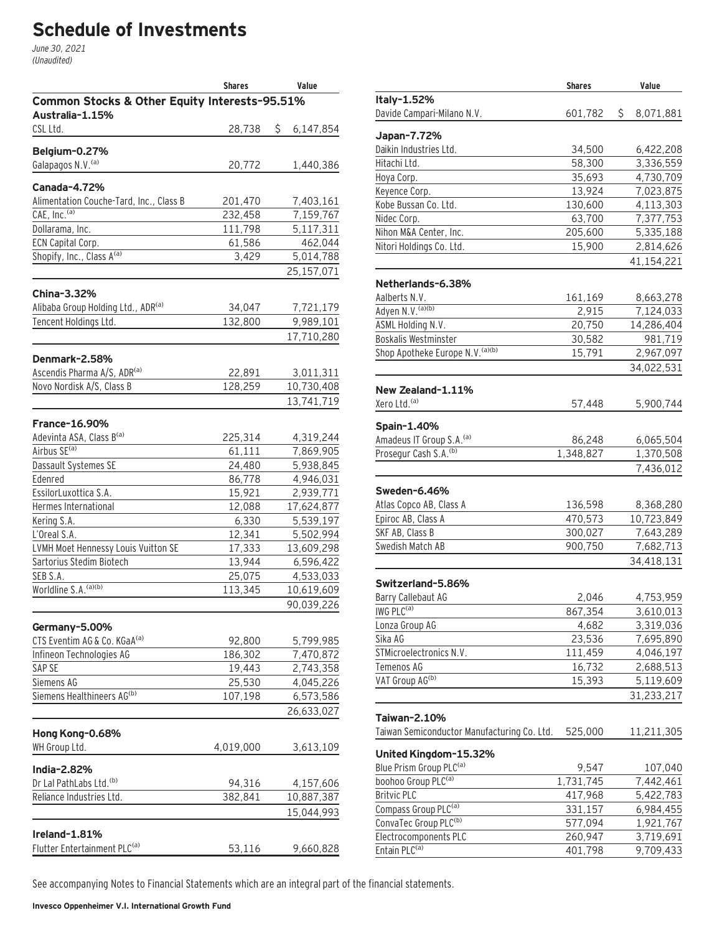# **Schedule of Investments**

June 30, 2021 (Unaudited)

|                                                      | <b>Shares</b><br>Value |                         |  |
|------------------------------------------------------|------------------------|-------------------------|--|
| Common Stocks & Other Equity Interests-95.51%        |                        |                         |  |
| Australia-1.15%                                      |                        |                         |  |
| CSL Ltd.                                             | 28,738                 | \$<br>6,147,854         |  |
| Belgium-0.27%                                        |                        |                         |  |
| Galapagos N.V. (a)                                   | 20,772                 | 1,440,386               |  |
|                                                      |                        |                         |  |
| Canada-4.72%                                         |                        |                         |  |
| Alimentation Couche-Tard, Inc., Class B              | 201,470                | 7,403,161               |  |
| CAE, Inc. <sup>(a)</sup>                             | 232,458                | 7,159,767               |  |
| Dollarama, Inc.                                      | 111,798                | 5,117,311               |  |
| ECN Capital Corp.                                    | 61,586                 | 462,044                 |  |
| Shopify, Inc., Class A(a)                            | 3,429                  | 5,014,788               |  |
|                                                      |                        | 25,157,071              |  |
| China-3.32%                                          |                        |                         |  |
| Alibaba Group Holding Ltd., ADR(a)                   | 34,047                 | 7,721,179               |  |
| Tencent Holdings Ltd.                                | 132,800                | 9,989,101               |  |
|                                                      |                        | 17,710,280              |  |
|                                                      |                        |                         |  |
| Denmark-2.58%                                        |                        |                         |  |
| Ascendis Pharma A/S, ADR(a)                          | 22,891                 | 3,011,311               |  |
| Novo Nordisk A/S, Class B                            | 128,259                | 10,730,408              |  |
|                                                      |                        | 13,741,719              |  |
|                                                      |                        |                         |  |
| <b>France-16.90%</b>                                 |                        |                         |  |
| Adevinta ASA, Class B(a)<br>Airbus SE <sup>(a)</sup> | 225,314                | 4,319,244               |  |
|                                                      | 61,111                 | 7,869,905               |  |
| Dassault Systemes SE<br>Edenred                      | 24,480                 | 5,938,845               |  |
| EssilorLuxottica S.A.                                | 86,778                 | 4,946,031               |  |
| Hermes International                                 | 15,921<br>12,088       | 2,939,771<br>17,624,877 |  |
| Kering S.A.                                          | 6,330                  | 5,539,197               |  |
| L'Oreal S.A.                                         | 12,341                 | 5,502,994               |  |
| LVMH Moet Hennessy Louis Vuitton SE                  | 17,333                 | 13,609,298              |  |
| Sartorius Stedim Biotech                             | 13,944                 | 6,596,422               |  |
| SEB S.A.                                             | 25,075                 | 4,533,033               |  |
| Worldline S.A. <sup>(a)(b)</sup>                     | 113,345                | 10,619,609              |  |
|                                                      |                        | 90,039,226              |  |
|                                                      |                        |                         |  |
| Germany-5.00%                                        |                        |                         |  |
| CTS Eventim AG & Co. KGaA <sup>(a)</sup>             | 92,800                 | 5,799,985               |  |
| Infineon Technologies AG                             | 186,302                | 7,470,872               |  |
| SAP SE                                               | 19,443                 | 2,743,358               |  |
| Siemens AG                                           | 25,530                 | 4,045,226               |  |
| Siemens Healthineers AG(b)                           | 107,198                | 6,573,586               |  |
|                                                      |                        | 26,633,027              |  |
| Hong Kong-0.68%                                      |                        |                         |  |
| WH Group Ltd.                                        | 4,019,000              | 3,613,109               |  |
|                                                      |                        |                         |  |
| India-2.82%                                          |                        |                         |  |
| Dr Lal PathLabs Ltd. <sup>(b)</sup>                  | 94,316                 | 4,157,606               |  |
| Reliance Industries Ltd.                             | 382,841                | 10,887,387              |  |
|                                                      |                        | 15,044,993              |  |
|                                                      |                        |                         |  |
| Ireland-1.81%                                        |                        |                         |  |
| Flutter Entertainment PLC <sup>(a)</sup>             | 53,116                 | 9,660,828               |  |

|                                             | <b>Shares</b> | Value           |
|---------------------------------------------|---------------|-----------------|
| Italy-1.52%                                 |               |                 |
| Davide Campari-Milano N.V.                  | 601,782       | \$<br>8,071,881 |
|                                             |               |                 |
| Japan-7.72%<br>Daikin Industries Ltd.       | 34,500        | 6,422,208       |
| Hitachi Ltd.                                | 58,300        | 3,336,559       |
| Hoya Corp.                                  | 35,693        | 4,730,709       |
| Keyence Corp.                               | 13,924        | 7,023,875       |
| Kobe Bussan Co. Ltd.                        | 130,600       | 4,113,303       |
| Nidec Corp.                                 | 63,700        | 7,377,753       |
| Nihon M&A Center, Inc.                      | 205,600       | 5,335,188       |
| Nitori Holdings Co. Ltd.                    | 15,900        | 2,814,626       |
|                                             |               | 41,154,221      |
|                                             |               |                 |
| Netherlands-6.38%                           |               |                 |
| Aalberts N.V.                               | 161,169       | 8,663,278       |
| Adyen N.V. (a)(b)                           | 2,915         | 7,124,033       |
| ASML Holding N.V.                           | 20,750        | 14,286,404      |
| Boskalis Westminster                        | 30,582        | 981,719         |
| Shop Apotheke Europe N.V. (a)(b)            | 15,791        | 2,967,097       |
|                                             |               | 34,022,531      |
| New Zealand-1.11%                           |               |                 |
| Xero Ltd. <sup>(a)</sup>                    | 57,448        | 5,900,744       |
|                                             |               |                 |
| Spain-1.40%                                 |               |                 |
| Amadeus IT Group S.A. (a)                   | 86,248        | 6,065,504       |
| Prosegur Cash S.A. <sup>(b)</sup>           | 1,348,827     | 1,370,508       |
|                                             |               | 7,436,012       |
| Sweden-6.46%                                |               |                 |
| Atlas Copco AB, Class A                     | 136,598       | 8,368,280       |
| Epiroc AB, Class A                          | 470,573       | 10,723,849      |
| SKF AB, Class B                             | 300,027       | 7,643,289       |
| Swedish Match AB                            | 900,750       | 7,682,713       |
|                                             |               | 34,418,131      |
|                                             |               |                 |
| Switzerland-5.86%                           |               |                 |
| Barry Callebaut AG                          | 2,046         | 4,753,959       |
| IWG PLC <sup>(a)</sup>                      | 867,354       | 3.610.013       |
| Lonza Group AG                              | 4,682         | 3,319,036       |
| Sika AG                                     | 23,536        | 7,695,890       |
| STMicroelectronics N.V.                     | 111,459       | 4,046,197       |
| Temenos AG                                  | 16,732        | 2,688,513       |
| VAT Group AG <sup>(b)</sup>                 | 15,393        | 5,119,609       |
|                                             |               | 31,233,217      |
| Taiwan-2.10%                                |               |                 |
| Taiwan Semiconductor Manufacturing Co. Ltd. | 525,000       | 11,211,305      |
| United Kingdom-15.32%                       |               |                 |
| Blue Prism Group PLC <sup>(a)</sup>         | 9,547         | 107,040         |
| boohoo Group PLC <sup>(a)</sup>             | 1,731,745     | 7,442,461       |
| <b>Britvic PLC</b>                          | 417,968       | 5,422,783       |
| Compass Group PLC <sup>(a)</sup>            | 331,157       | 6,984,455       |
| ConvaTec Group PLC <sup>(b)</sup>           | 577,094       | 1,921,767       |
| Electrocomponents PLC                       | 260,947       | 3,719,691       |
| Entain PLC <sup>(a)</sup>                   | 401,798       | 9,709,433       |
|                                             |               |                 |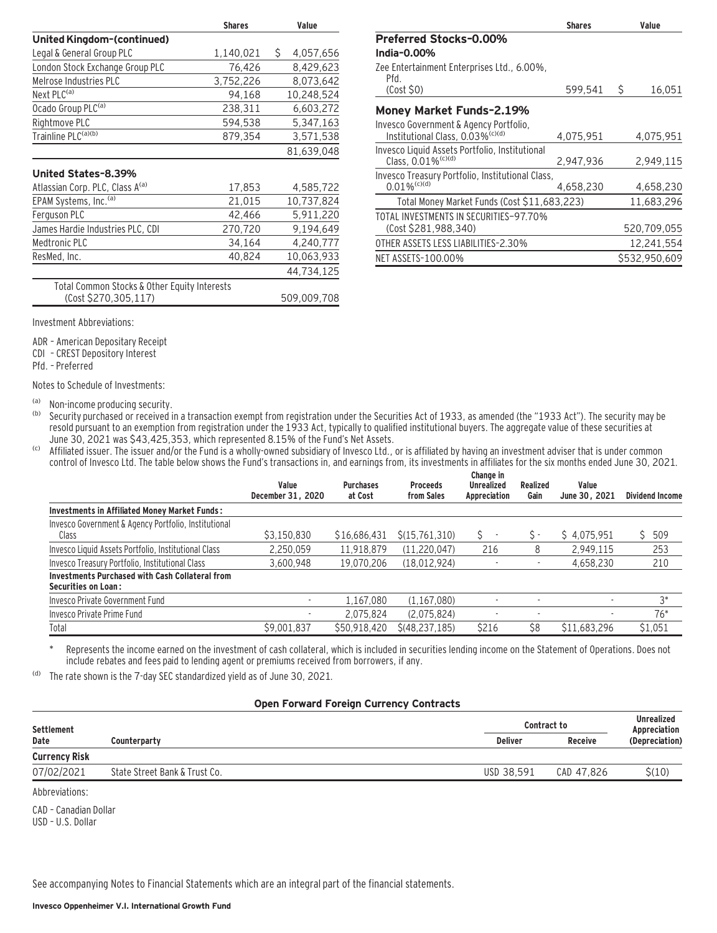|                                              | <b>Shares</b> | Value           |
|----------------------------------------------|---------------|-----------------|
| United Kingdom-(continued)                   |               |                 |
| Legal & General Group PLC                    | 1,140,021     | \$<br>4,057,656 |
| London Stock Exchange Group PLC              | 76,426        | 8,429,623       |
| Melrose Industries PLC                       | 3,752,226     | 8,073,642       |
| Next PLC <sup>(a)</sup>                      | 94,168        | 10,248,524      |
| Ocado Group PLC <sup>(a)</sup>               | 238,311       | 6,603,272       |
| Rightmove PLC                                | 594,538       | 5,347,163       |
| Trainline PLC <sup>(a)(b)</sup>              | 879,354       | 3,571,538       |
|                                              |               | 81,639,048      |
| United States-8.39%                          |               |                 |
| Atlassian Corp. PLC, Class A <sup>(a)</sup>  | 17,853        | 4,585,722       |
| EPAM Systems, Inc. <sup>(a)</sup>            | 21,015        | 10,737,824      |
| Ferguson PLC                                 | 42,466        | 5,911,220       |
| James Hardie Industries PLC, CDI             | 270,720       | 9,194,649       |
| Medtronic PLC                                | 34,164        | 4,240,777       |
| ResMed, Inc.                                 | 40,824        | 10,063,933      |
|                                              |               | 44,734,125      |
| Total Common Stocks & Other Equity Interests |               |                 |
| (Cost \$270,305,117)                         |               | 509,009,708     |
| Investment Abbreviations:                    |               |                 |
|                                              |               |                 |

ADR – American Depositary Receipt

CDI – CREST Depository Interest

Pfd. – Preferred

Notes to Schedule of Investments:

(a) Non-income producing security.<br>(b) Security purchased or received in

Security purchased or received in a transaction exempt from registration under the Securities Act of 1933, as amended (the "1933 Act"). The security may be resold pursuant to an exemption from registration under the 1933 Act, typically to qualified institutional buyers. The aggregate value of these securities at June 30, 2021 was \$43,425,353, which represented 8.15% of the Fund's Net Assets.

<sup>(c)</sup> Affiliated issuer. The issuer and/or the Fund is a wholly-owned subsidiary of Invesco Ltd., or is affiliated by having an investment adviser that is under common control of Invesco Ltd. The table below shows the Fund's transactions in, and earnings from, its investments in affiliates for the six months ended June 30, 2021.

|                                                        | Value<br>December 31, 2020 | <b>Purchases</b><br>at Cost | <b>Proceeds</b><br>from Sales | Change in<br><b>Unrealized</b><br>Appreciation | Realized<br>Gain | Value<br>June 30, 2021 | <b>Dividend Income</b> |
|--------------------------------------------------------|----------------------------|-----------------------------|-------------------------------|------------------------------------------------|------------------|------------------------|------------------------|
| <b>Investments in Affiliated Money Market Funds:</b>   |                            |                             |                               |                                                |                  |                        |                        |
| Invesco Government & Agency Portfolio, Institutional   |                            |                             |                               |                                                |                  |                        |                        |
| Class                                                  | \$3,150,830                | \$16,686,431                | \$(15.761.310)                |                                                | $S =$            | \$4.075.951            | \$509                  |
| Invesco Liquid Assets Portfolio, Institutional Class   | 2,250,059                  | 11,918,879                  | (11, 220, 047)                | 216                                            | 8                | 2,949,115              | 253                    |
| Invesco Treasury Portfolio, Institutional Class        | 3,600,948                  | 19,070,206                  | (18,012,924)                  |                                                |                  | 4,658,230              | 210                    |
| <b>Investments Purchased with Cash Collateral from</b> |                            |                             |                               |                                                |                  |                        |                        |
| <b>Securities on Loan:</b>                             |                            |                             |                               |                                                |                  |                        |                        |
| Invesco Private Government Fund                        | ۰.                         | 1,167,080                   | (1, 167, 080)                 |                                                |                  | ٠                      | $3^*$                  |
| Invesco Private Prime Fund                             |                            | 2.075.824                   | (2.075.824)                   |                                                |                  |                        | $76*$                  |
| Total                                                  | \$9,001,837                | \$50.918.420                | \$(48.237.185)                | \$216                                          | \$8              | \$11,683,296           | \$1,051                |

Represents the income earned on the investment of cash collateral, which is included in securities lending income on the Statement of Operations. Does not include rebates and fees paid to lending agent or premiums received from borrowers, if any.

(d) The rate shown is the 7-day SEC standardized yield as of June 30, 2021.

#### **Open Forward Foreign Currency Contracts**

| Settlement           |                               |                | <b>Contract to</b> |                                |
|----------------------|-------------------------------|----------------|--------------------|--------------------------------|
| Date                 | Counterparty                  | <b>Deliver</b> | <b>Receive</b>     | Appreciation<br>(Depreciation) |
| <b>Currency Risk</b> |                               |                |                    |                                |
| 07/02/2021           | State Street Bank & Trust Co. | USD 38.591     | CAD 47.826         | \$(10)                         |
|                      |                               |                |                    |                                |

Abbreviations:

CAD – Canadian Dollar USD – U.S. Dollar

|                                                                                        | <b>Shares</b> | Value         |
|----------------------------------------------------------------------------------------|---------------|---------------|
| <b>Preferred Stocks-0.00%</b>                                                          |               |               |
| India-0.00%                                                                            |               |               |
| Zee Entertainment Enterprises Ltd., 6.00%,<br>Pfd                                      |               |               |
| $(Cost$ \$0)                                                                           | 599,541       | \$<br>16,051  |
| Money Market Funds-2.19%                                                               |               |               |
| Invesco Government & Agency Portfolio,<br>Institutional Class, 0.03% <sup>(c)(d)</sup> | 4,075,951     | 4.075.951     |
| Invesco Liquid Assets Portfolio, Institutional<br>Class, $0.01\%$ <sup>(c)(d)</sup>    | 2,947,936     | 2,949,115     |
| Invesco Treasury Portfolio, Institutional Class,<br>$0.01\%$ <sup>(c)(d)</sup>         | 4.658.230     | 4,658,230     |
| Total Money Market Funds (Cost \$11,683,223)                                           |               | 11,683,296    |
| TOTAL INVESTMENTS IN SECURITIES-97.70%                                                 |               |               |
| (Cost \$281,988,340)                                                                   |               | 520,709,055   |
| OTHER ASSETS LESS LIABILITIES-2.30%                                                    |               | 12,241,554    |
| NET ASSETS-100.00%                                                                     |               | \$532.950.609 |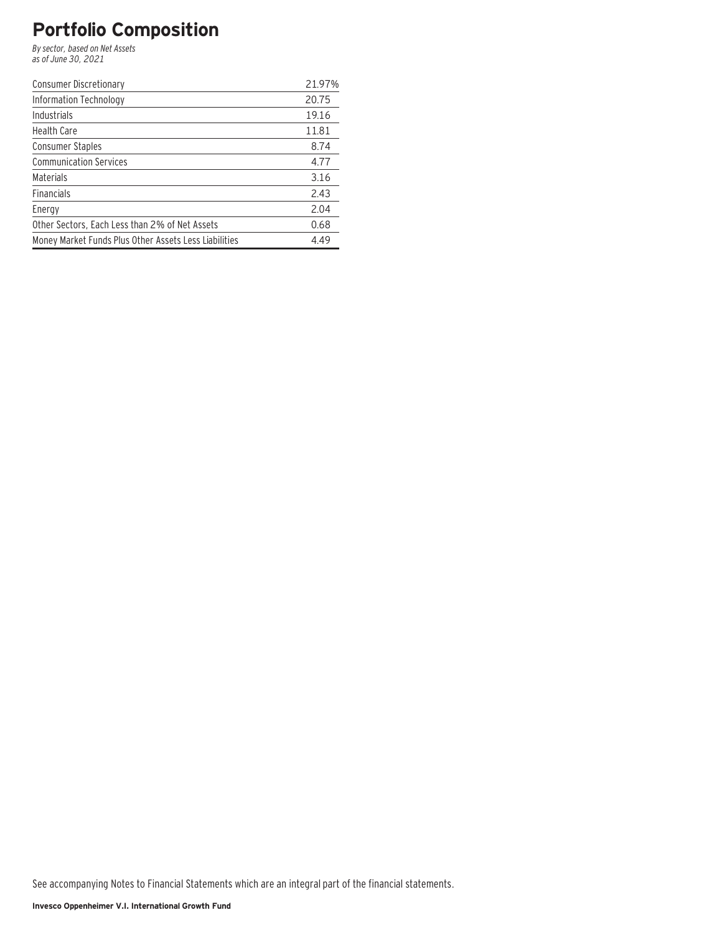## **Portfolio Composition**

By sector, based on Net Assets as of June 30, 2021

| Consumer Discretionary                                | 21.97% |
|-------------------------------------------------------|--------|
| Information Technology                                | 20.75  |
| <b>Industrials</b>                                    | 19.16  |
| <b>Health Care</b>                                    | 11.81  |
| <b>Consumer Staples</b>                               | 8.74   |
| <b>Communication Services</b>                         | 4.77   |
| Materials                                             | 3.16   |
| <b>Financials</b>                                     | 2.43   |
| Energy                                                | 2.04   |
| Other Sectors, Each Less than 2% of Net Assets        | 0.68   |
| Money Market Funds Plus Other Assets Less Liabilities | 4.49   |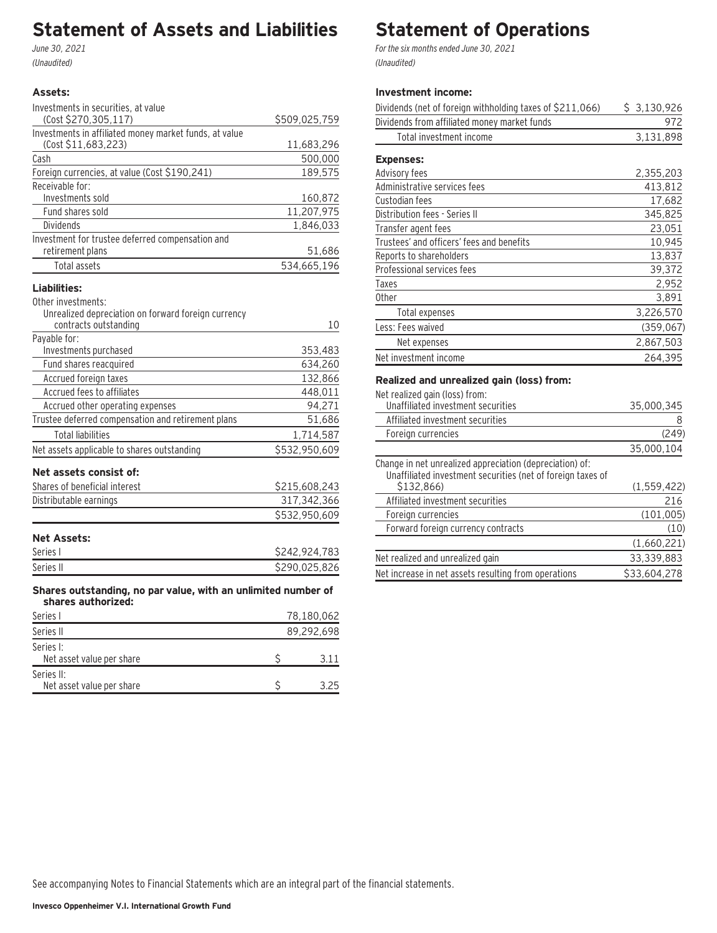## **Statement of Assets and Liabilities**

June 30, 2021 (Unaudited)

#### **Assets:**

Series II:

| Investments in securities, at value                                                 |               |
|-------------------------------------------------------------------------------------|---------------|
| (Cost \$270,305,117)                                                                | \$509,025,759 |
| Investments in affiliated money market funds, at value                              |               |
| (Cost \$11,683,223)                                                                 | 11,683,296    |
| Cash                                                                                | 500,000       |
| Foreign currencies, at value (Cost \$190,241)                                       | 189,575       |
| Receivable for:                                                                     |               |
| Investments sold                                                                    | 160,872       |
| Fund shares sold                                                                    | 11,207,975    |
| Dividends                                                                           | 1,846,033     |
| Investment for trustee deferred compensation and                                    |               |
| retirement plans                                                                    | 51,686        |
| Total assets                                                                        | 534,665,196   |
| Liabilities:                                                                        |               |
| Other investments:                                                                  |               |
| Unrealized depreciation on forward foreign currency                                 |               |
| contracts outstanding                                                               | 10            |
| Payable for:                                                                        |               |
| Investments purchased                                                               | 353,483       |
| Fund shares reacquired                                                              | 634,260       |
| Accrued foreign taxes                                                               | 132,866       |
| Accrued fees to affiliates                                                          | 448,011       |
| Accrued other operating expenses                                                    | 94,271        |
| Trustee deferred compensation and retirement plans                                  | 51,686        |
| <b>Total liabilities</b>                                                            | 1,714,587     |
| Net assets applicable to shares outstanding                                         | \$532,950,609 |
| Net assets consist of:                                                              |               |
| Shares of beneficial interest                                                       | \$215,608,243 |
| Distributable earnings                                                              | 317,342,366   |
|                                                                                     | \$532,950,609 |
|                                                                                     |               |
| <b>Net Assets:</b>                                                                  |               |
| Series I                                                                            | \$242,924,783 |
| Series II                                                                           | \$290,025,826 |
|                                                                                     |               |
| Shares outstanding, no par value, with an unlimited number of<br>shares authorized: |               |
| Series I                                                                            | 78,180,062    |
| Series II                                                                           | 89,292,698    |
| Series I:                                                                           |               |
| Net asset value per share                                                           | \$<br>3.11    |

Net asset value per share \$ 3.25

# **Statement of Operations**

For the six months ended June 30, 2021 (Unaudited)

### **Investment income:**

| Dividends (net of foreign withholding taxes of \$211,066) | \$3,130,926 |
|-----------------------------------------------------------|-------------|
| Dividends from affiliated money market funds              | 972         |
| Total investment income                                   | 3,131,898   |
| <b>Expenses:</b>                                          |             |
| Advisory fees                                             | 2,355,203   |
| Administrative services fees                              | 413,812     |
| Custodian fees                                            | 17,682      |
| Distribution fees - Series II                             | 345,825     |
| Transfer agent fees                                       | 23,051      |
| Trustees' and officers' fees and benefits                 | 10,945      |
| Reports to shareholders                                   | 13,837      |
| Professional services fees                                | 39,372      |
| Taxes                                                     | 2,952       |
| <b>Other</b>                                              | 3,891       |
| Total expenses                                            | 3,226,570   |
| Less: Fees waived                                         | (359, 067)  |
| Net expenses                                              | 2,867,503   |
| Net investment income                                     | 264,395     |

### **Realized and unrealized gain (loss) from:**

Net realized gain (loss) from:

| Unaffiliated investment securities                                                                                                    | 35.000.345    |
|---------------------------------------------------------------------------------------------------------------------------------------|---------------|
| Affiliated investment securities                                                                                                      | 8             |
| Foreign currencies                                                                                                                    | (249)         |
|                                                                                                                                       | 35,000,104    |
| Change in net unrealized appreciation (depreciation) of:<br>Unaffiliated investment securities (net of foreign taxes of<br>\$132.866) | (1, 559, 422) |
| Affiliated investment securities                                                                                                      | 216           |
|                                                                                                                                       |               |
| Foreign currencies                                                                                                                    | (101, 005)    |
| Forward foreign currency contracts                                                                                                    | (10)          |
|                                                                                                                                       | (1,660,221)   |
| Net realized and unrealized gain                                                                                                      | 33,339,883    |
| Net increase in net assets resulting from operations                                                                                  | \$33,604,278  |
|                                                                                                                                       |               |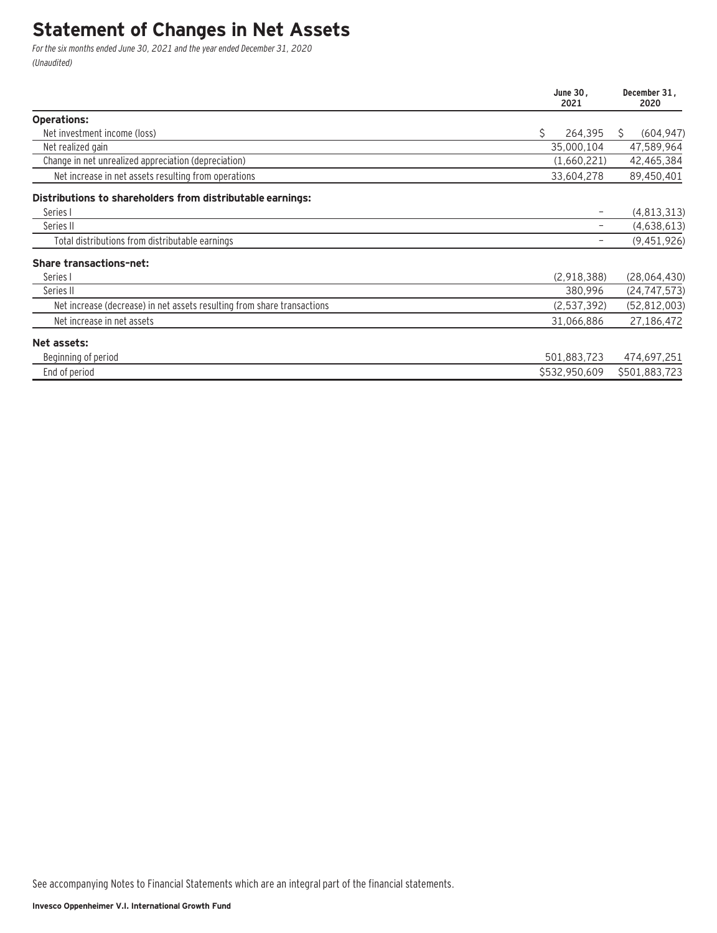### **Statement of Changes in Net Assets**

For the six months ended June 30, 2021 and the year ended December 31, 2020 (Unaudited)

|                                                                         | June 30.<br>2021 |                 |
|-------------------------------------------------------------------------|------------------|-----------------|
| <b>Operations:</b>                                                      |                  |                 |
| Net investment income (loss)                                            | \$<br>264,395    | (604, 947)<br>S |
| Net realized gain                                                       | 35,000,104       | 47,589,964      |
| Change in net unrealized appreciation (depreciation)                    | (1,660,221)      | 42,465,384      |
| Net increase in net assets resulting from operations                    | 33,604,278       | 89,450,401      |
| Distributions to shareholders from distributable earnings:              |                  |                 |
| Series I                                                                |                  | (4, 813, 313)   |
| Series II                                                               |                  | (4,638,613)     |
| Total distributions from distributable earnings                         |                  | (9,451,926)     |
| <b>Share transactions-net:</b>                                          |                  |                 |
| Series I                                                                | (2,918,388)      | (28,064,430)    |
| Series II                                                               | 380,996          | (24, 747, 573)  |
| Net increase (decrease) in net assets resulting from share transactions | (2,537,392)      | (52, 812, 003)  |
| Net increase in net assets                                              | 31,066,886       | 27,186,472      |
| Net assets:                                                             |                  |                 |
| Beginning of period                                                     | 501,883,723      | 474,697,251     |
| End of period                                                           | \$532,950,609    | \$501,883,723   |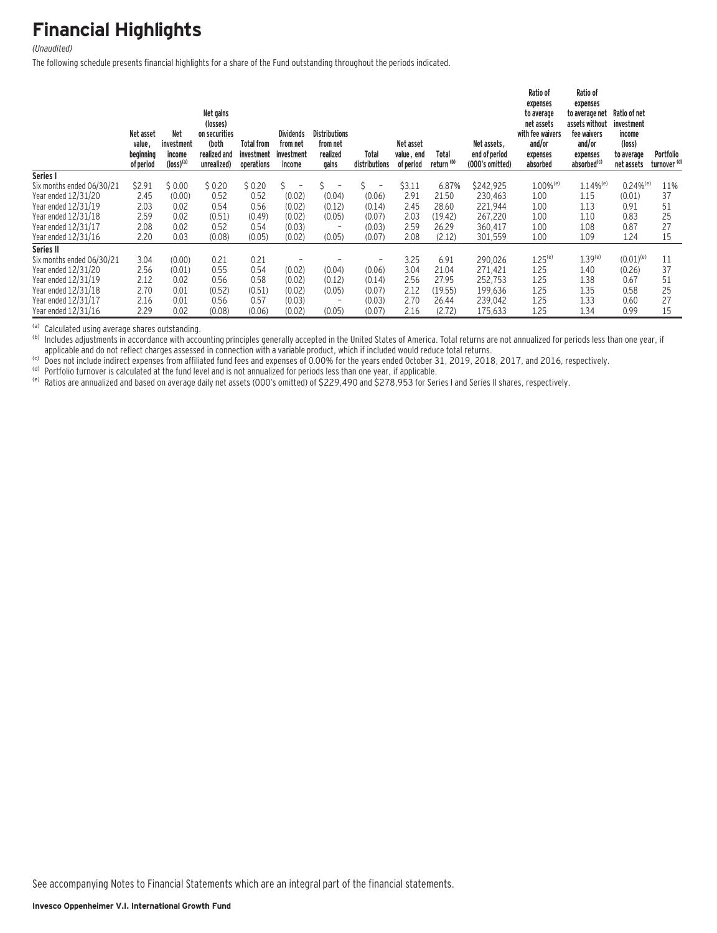# **Financial Highlights**

#### (Unaudited)

The following schedule presents financial highlights for a share of the Fund outstanding throughout the periods indicated.

|                           | Net asset<br>value,<br>beginning<br>of period | <b>Net</b><br>investment<br>income<br>$(logs)$ <sup>(a)</sup> | Net gains<br>(losses)<br>on securities<br>(both<br>realized and<br>unrealized) | <b>Total from</b><br>investment<br>operations | <b>Dividends</b><br>from net<br>investment<br>income | <b>Distributions</b><br>from net<br>realized<br>gains | Total<br>distributions | Net asset<br>value, end<br>of period | Total<br>return <sup>(b)</sup> | Net assets.<br>end of period<br>(000's omitted) | Ratio of<br>expenses<br>to average<br>net assets<br>with fee waivers<br>and/or<br>expenses<br>absorbed | Ratio of<br>expenses<br>to average net<br>assets without<br>fee waivers<br>and/or<br>expenses<br>absorbed <sup>(c)</sup> | Ratio of net<br>investment<br>income<br>(loss)<br>to average<br>net assets | Portfolio<br>turnover <sup>(d)</sup> |
|---------------------------|-----------------------------------------------|---------------------------------------------------------------|--------------------------------------------------------------------------------|-----------------------------------------------|------------------------------------------------------|-------------------------------------------------------|------------------------|--------------------------------------|--------------------------------|-------------------------------------------------|--------------------------------------------------------------------------------------------------------|--------------------------------------------------------------------------------------------------------------------------|----------------------------------------------------------------------------|--------------------------------------|
| Series I                  |                                               |                                                               |                                                                                |                                               |                                                      |                                                       |                        |                                      |                                |                                                 |                                                                                                        |                                                                                                                          |                                                                            |                                      |
| Six months ended 06/30/21 | \$2.91                                        | \$0.00                                                        | \$0.20                                                                         | \$0.20                                        | S.                                                   |                                                       | Ś.<br>$\overline{a}$   | \$3.11                               | 6.87%                          | \$242,925                                       | $1.00\%$ <sup>(e)</sup>                                                                                | $1.14\%$ <sup>(e)</sup>                                                                                                  | $0.24%$ <sup>(e)</sup>                                                     | 11%                                  |
| Year ended 12/31/20       | 2.45                                          | (0.00)                                                        | 0.52                                                                           | 0.52                                          | (0.02)                                               | (0.04)                                                | (0.06)                 | 2.91                                 | 21.50                          | 230.463                                         | 1.00                                                                                                   | 1.15                                                                                                                     | (0.01)                                                                     | 37                                   |
| Year ended 12/31/19       | 2.03                                          | 0.02                                                          | 0.54                                                                           | 0.56                                          | (0.02)                                               | (0.12)                                                | (0.14)                 | 2.45                                 | 28.60                          | 221.944                                         | 1.00                                                                                                   | 1.13                                                                                                                     | 0.91                                                                       | 51                                   |
| Year ended 12/31/18       | 2.59                                          | 0.02                                                          | (0.51)                                                                         | (0.49)                                        | (0.02)                                               | (0.05)                                                | (0.07)                 | 2.03                                 | (19.42)                        | 267.220                                         | 1.00                                                                                                   | 1.10                                                                                                                     | 0.83                                                                       | 25                                   |
| Year ended 12/31/17       | 2.08                                          | 0.02                                                          | 0.52                                                                           | 0.54                                          | (0.03)                                               |                                                       | (0.03)                 | 2.59                                 | 26.29                          | 360.417                                         | 1.00                                                                                                   | 1.08                                                                                                                     | 0.87                                                                       | 27                                   |
| Year ended 12/31/16       | 2.20                                          | 0.03                                                          | (0.08)                                                                         | (0.05)                                        | (0.02)                                               | (0.05)                                                | (0.07)                 | 2.08                                 | (2.12)                         | 301,559                                         | 1.00                                                                                                   | 1.09                                                                                                                     | 1.24                                                                       | 15                                   |
| Series II                 |                                               |                                                               |                                                                                |                                               |                                                      |                                                       |                        |                                      |                                |                                                 |                                                                                                        |                                                                                                                          |                                                                            |                                      |
| Six months ended 06/30/21 | 3.04                                          | (0.00)                                                        | 0.21                                                                           | 0.21                                          |                                                      |                                                       | -                      | 3.25                                 | 6.91                           | 290.026                                         | $1.25^{(e)}$                                                                                           | $1.39^{(e)}$                                                                                                             | $(0.01)^{(e)}$                                                             | 11                                   |
| Year ended 12/31/20       | 2.56                                          | (0.01)                                                        | 0.55                                                                           | 0.54                                          | (0.02)                                               | (0.04)                                                | (0.06)                 | 3.04                                 | 21.04                          | 271.421                                         | 1.25                                                                                                   | 1.40                                                                                                                     | (0.26)                                                                     | 37                                   |
| Year ended 12/31/19       | 2.12                                          | 0.02                                                          | 0.56                                                                           | 0.58                                          | (0.02)                                               | (0.12)                                                | (0.14)                 | 2.56                                 | 27.95                          | 252,753                                         | 1.25                                                                                                   | 1.38                                                                                                                     | 0.67                                                                       | 51                                   |
| Year ended 12/31/18       | 2.70                                          | 0.01                                                          | (0.52)                                                                         | (0.51)                                        | (0.02)                                               | (0.05)                                                | (0.07)                 | 2.12                                 | (19.55)                        | 199,636                                         | 1.25                                                                                                   | 1.35                                                                                                                     | 0.58                                                                       | 25                                   |
| Year ended 12/31/17       | 2.16                                          | 0.01                                                          | 0.56                                                                           | 0.57                                          | (0.03)                                               | $\qquad \qquad$                                       | (0.03)                 | 2.70                                 | 26.44                          | 239,042                                         | 1.25                                                                                                   | 1.33                                                                                                                     | 0.60                                                                       | 27                                   |
| Year ended 12/31/16       | 2.29                                          | 0.02                                                          | (0.08)                                                                         | (0.06)                                        | (0.02)                                               | (0.05)                                                | (0.07)                 | 2.16                                 | (2.72)                         | 175,633                                         | 1.25                                                                                                   | 1.34                                                                                                                     | 0.99                                                                       | 15                                   |

(a) Calculated using average shares outstanding.<br>(b) Includes adjustments in accordance with accounting principles generally accepted in the United States of America. Total returns are not annualized for periods less than

(b) Does not include indirect expenses from affiliated fund fees and expenses of 0.00% for the years ended October 31, 2019, 2018, 2017, and 2016, respectively.<br>(b) Portfolio turnover is calculated at the fund level and is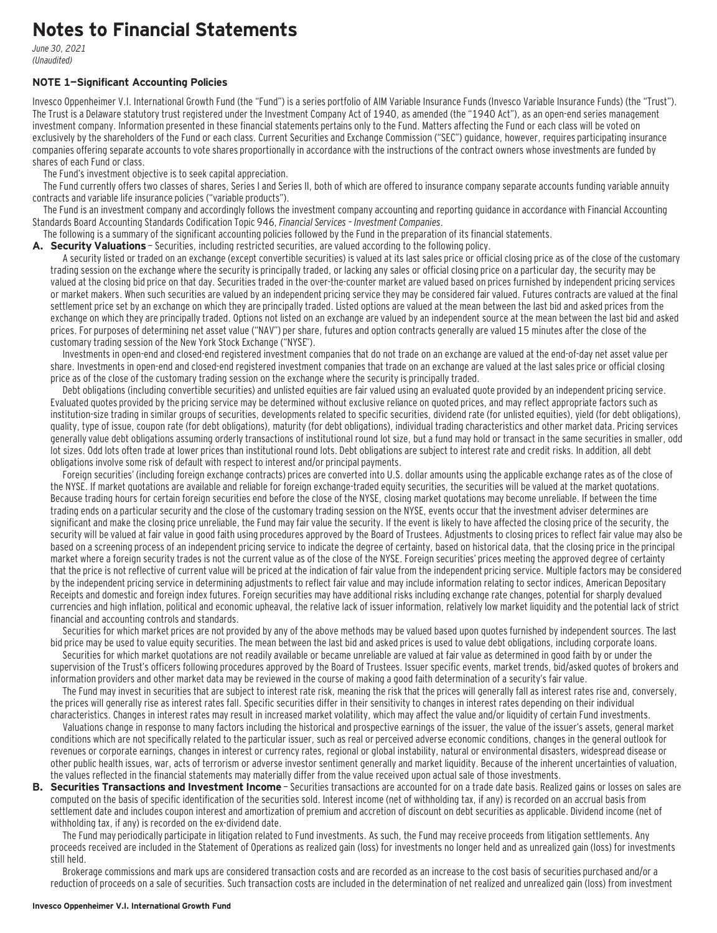## **Notes to Financial Statements**

June 30, 2021 (Unaudited)

#### **NOTE 1—Significant Accounting Policies**

Invesco Oppenheimer V.I. International Growth Fund (the "Fund") is a series portfolio of AIM Variable Insurance Funds (Invesco Variable Insurance Funds) (the "Trust"). The Trust is a Delaware statutory trust registered under the Investment Company Act of 1940, as amended (the "1940 Act"), as an open-end series management investment company. Information presented in these financial statements pertains only to the Fund. Matters affecting the Fund or each class will be voted on exclusively by the shareholders of the Fund or each class. Current Securities and Exchange Commission ("SEC") guidance, however, requires participating insurance companies offering separate accounts to vote shares proportionally in accordance with the instructions of the contract owners whose investments are funded by shares of each Fund or class.

The Fund's investment objective is to seek capital appreciation.

The Fund currently offers two classes of shares, Series I and Series II, both of which are offered to insurance company separate accounts funding variable annuity contracts and variable life insurance policies ("variable products").

The Fund is an investment company and accordingly follows the investment company accounting and reporting guidance in accordance with Financial Accounting Standards Board Accounting Standards Codification Topic 946, Financial Services – Investment Companies.

The following is a summary of the significant accounting policies followed by the Fund in the preparation of its financial statements.

**A. Security Valuations** — Securities, including restricted securities, are valued according to the following policy.

A security listed or traded on an exchange (except convertible securities) is valued at its last sales price or official closing price as of the close of the customary trading session on the exchange where the security is principally traded, or lacking any sales or official closing price on a particular day, the security may be valued at the closing bid price on that day. Securities traded in the over-the-counter market are valued based on prices furnished by independent pricing services or market makers. When such securities are valued by an independent pricing service they may be considered fair valued. Futures contracts are valued at the final settlement price set by an exchange on which they are principally traded. Listed options are valued at the mean between the last bid and asked prices from the exchange on which they are principally traded. Options not listed on an exchange are valued by an independent source at the mean between the last bid and asked prices. For purposes of determining net asset value ("NAV") per share, futures and option contracts generally are valued 15 minutes after the close of the customary trading session of the New York Stock Exchange ("NYSE").

Investments in open-end and closed-end registered investment companies that do not trade on an exchange are valued at the end-of-day net asset value per share. Investments in open-end and closed-end registered investment companies that trade on an exchange are valued at the last sales price or official closing price as of the close of the customary trading session on the exchange where the security is principally traded.

Debt obligations (including convertible securities) and unlisted equities are fair valued using an evaluated quote provided by an independent pricing service. Evaluated quotes provided by the pricing service may be determined without exclusive reliance on quoted prices, and may reflect appropriate factors such as institution-size trading in similar groups of securities, developments related to specific securities, dividend rate (for unlisted equities), yield (for debt obligations), quality, type of issue, coupon rate (for debt obligations), maturity (for debt obligations), individual trading characteristics and other market data. Pricing services generally value debt obligations assuming orderly transactions of institutional round lot size, but a fund may hold or transact in the same securities in smaller, odd lot sizes. Odd lots often trade at lower prices than institutional round lots. Debt obligations are subject to interest rate and credit risks. In addition, all debt obligations involve some risk of default with respect to interest and/or principal payments.

Foreign securities' (including foreign exchange contracts) prices are converted into U.S. dollar amounts using the applicable exchange rates as of the close of the NYSE. If market quotations are available and reliable for foreign exchange-traded equity securities, the securities will be valued at the market quotations. Because trading hours for certain foreign securities end before the close of the NYSE, closing market quotations may become unreliable. If between the time trading ends on a particular security and the close of the customary trading session on the NYSE, events occur that the investment adviser determines are significant and make the closing price unreliable, the Fund may fair value the security. If the event is likely to have affected the closing price of the security, the security will be valued at fair value in good faith using procedures approved by the Board of Trustees. Adjustments to closing prices to reflect fair value may also be based on a screening process of an independent pricing service to indicate the degree of certainty, based on historical data, that the closing price in the principal market where a foreign security trades is not the current value as of the close of the NYSE. Foreign securities' prices meeting the approved degree of certainty that the price is not reflective of current value will be priced at the indication of fair value from the independent pricing service. Multiple factors may be considered by the independent pricing service in determining adjustments to reflect fair value and may include information relating to sector indices, American Depositary Receipts and domestic and foreign index futures. Foreign securities may have additional risks including exchange rate changes, potential for sharply devalued currencies and high inflation, political and economic upheaval, the relative lack of issuer information, relatively low market liquidity and the potential lack of strict financial and accounting controls and standards.

Securities for which market prices are not provided by any of the above methods may be valued based upon quotes furnished by independent sources. The last bid price may be used to value equity securities. The mean between the last bid and asked prices is used to value debt obligations, including corporate loans.

Securities for which market quotations are not readily available or became unreliable are valued at fair value as determined in good faith by or under the supervision of the Trust's officers following procedures approved by the Board of Trustees. Issuer specific events, market trends, bid/asked quotes of brokers and information providers and other market data may be reviewed in the course of making a good faith determination of a security's fair value.

The Fund may invest in securities that are subject to interest rate risk, meaning the risk that the prices will generally fall as interest rates rise and, conversely, the prices will generally rise as interest rates fall. Specific securities differ in their sensitivity to changes in interest rates depending on their individual characteristics. Changes in interest rates may result in increased market volatility, which may affect the value and/or liquidity of certain Fund investments.

Valuations change in response to many factors including the historical and prospective earnings of the issuer, the value of the issuer's assets, general market conditions which are not specifically related to the particular issuer, such as real or perceived adverse economic conditions, changes in the general outlook for revenues or corporate earnings, changes in interest or currency rates, regional or global instability, natural or environmental disasters, widespread disease or other public health issues, war, acts of terrorism or adverse investor sentiment generally and market liquidity. Because of the inherent uncertainties of valuation, the values reflected in the financial statements may materially differ from the value received upon actual sale of those investments.

**B. Securities Transactions and Investment Income** - Securities transactions are accounted for on a trade date basis. Realized gains or losses on sales are computed on the basis of specific identification of the securities sold. Interest income (net of withholding tax, if any) is recorded on an accrual basis from settlement date and includes coupon interest and amortization of premium and accretion of discount on debt securities as applicable. Dividend income (net of withholding tax, if any) is recorded on the ex-dividend date.

The Fund may periodically participate in litigation related to Fund investments. As such, the Fund may receive proceeds from litigation settlements. Any proceeds received are included in the Statement of Operations as realized gain (loss) for investments no longer held and as unrealized gain (loss) for investments still held.

Brokerage commissions and mark ups are considered transaction costs and are recorded as an increase to the cost basis of securities purchased and/or a reduction of proceeds on a sale of securities. Such transaction costs are included in the determination of net realized and unrealized gain (loss) from investment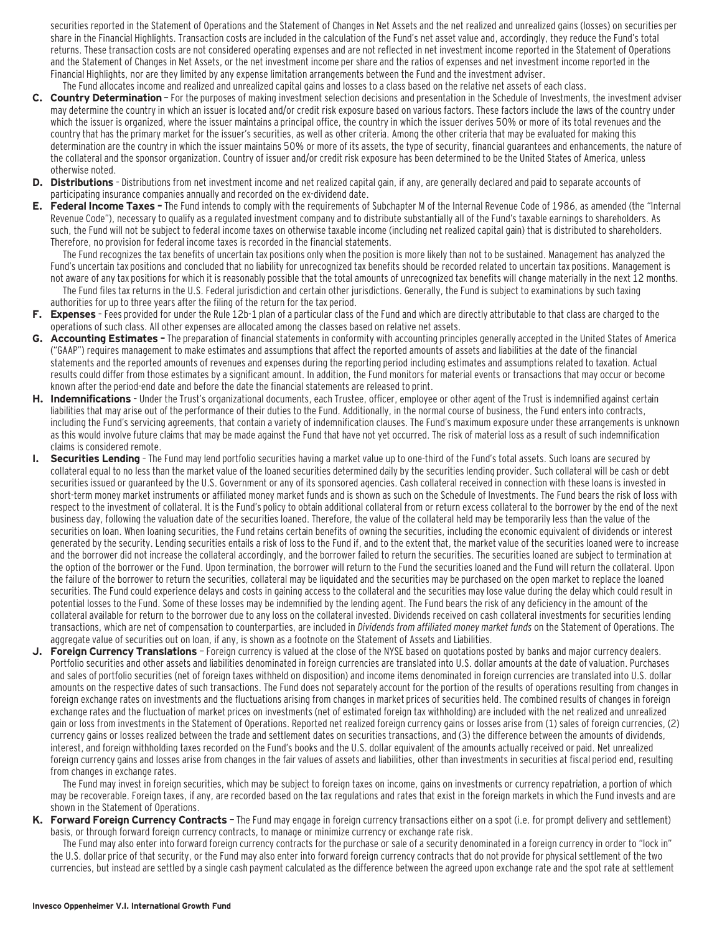securities reported in the Statement of Operations and the Statement of Changes in Net Assets and the net realized and unrealized gains (losses) on securities per share in the Financial Highlights. Transaction costs are included in the calculation of the Fund's net asset value and, accordingly, they reduce the Fund's total returns. These transaction costs are not considered operating expenses and are not reflected in net investment income reported in the Statement of Operations and the Statement of Changes in Net Assets, or the net investment income per share and the ratios of expenses and net investment income reported in the Financial Highlights, nor are they limited by any expense limitation arrangements between the Fund and the investment adviser. The Fund allocates income and realized and unrealized capital gains and losses to a class based on the relative net assets of each class.

- **C. Country Determination**  For the purposes of making investment selection decisions and presentation in the Schedule of Investments, the investment adviser may determine the country in which an issuer is located and/or credit risk exposure based on various factors. These factors include the laws of the country under which the issuer is organized, where the issuer maintains a principal office, the country in which the issuer derives 50% or more of its total revenues and the country that has the primary market for the issuer's securities, as well as other criteria. Among the other criteria that may be evaluated for making this determination are the country in which the issuer maintains 50% or more of its assets, the type of security, financial guarantees and enhancements, the nature of the collateral and the sponsor organization. Country of issuer and/or credit risk exposure has been determined to be the United States of America, unless otherwise noted.
- **D. Distributions**  Distributions from net investment income and net realized capital gain, if any, are generally declared and paid to separate accounts of participating insurance companies annually and recorded on the ex-dividend date.
- **E. Federal Income Taxes** The Fund intends to comply with the requirements of Subchapter M of the Internal Revenue Code of 1986, as amended (the "Internal Revenue Code"), necessary to qualify as a regulated investment company and to distribute substantially all of the Fund's taxable earnings to shareholders. As such, the Fund will not be subject to federal income taxes on otherwise taxable income (including net realized capital gain) that is distributed to shareholders. Therefore, no provision for federal income taxes is recorded in the financial statements.

The Fund recognizes the tax benefits of uncertain tax positions only when the position is more likely than not to be sustained. Management has analyzed the Fund's uncertain tax positions and concluded that no liability for unrecognized tax benefits should be recorded related to uncertain tax positions. Management is not aware of any tax positions for which it is reasonably possible that the total amounts of unrecognized tax benefits will change materially in the next 12 months.

- The Fund files tax returns in the U.S. Federal jurisdiction and certain other jurisdictions. Generally, the Fund is subject to examinations by such taxing authorities for up to three years after the filing of the return for the tax period.
- **F. Expenses**  Fees provided for under the Rule 12b-1 plan of a particular class of the Fund and which are directly attributable to that class are charged to the operations of such class. All other expenses are allocated among the classes based on relative net assets.
- **G. Accounting Estimates** The preparation of financial statements in conformity with accounting principles generally accepted in the United States of America ("GAAP") requires management to make estimates and assumptions that affect the reported amounts of assets and liabilities at the date of the financial statements and the reported amounts of revenues and expenses during the reporting period including estimates and assumptions related to taxation. Actual results could differ from those estimates by a significant amount. In addition, the Fund monitors for material events or transactions that may occur or become known after the period-end date and before the date the financial statements are released to print.
- **H. Indemnifications**  Under the Trust's organizational documents, each Trustee, officer, employee or other agent of the Trust is indemnified against certain liabilities that may arise out of the performance of their duties to the Fund. Additionally, in the normal course of business, the Fund enters into contracts, including the Fund's servicing agreements, that contain a variety of indemnification clauses. The Fund's maximum exposure under these arrangements is unknown as this would involve future claims that may be made against the Fund that have not yet occurred. The risk of material loss as a result of such indemnification claims is considered remote.
- **I. Securities Lending**  The Fund may lend portfolio securities having a market value up to one-third of the Fund's total assets. Such loans are secured by collateral equal to no less than the market value of the loaned securities determined daily by the securities lending provider. Such collateral will be cash or debt securities issued or guaranteed by the U.S. Government or any of its sponsored agencies. Cash collateral received in connection with these loans is invested in short-term money market instruments or affiliated money market funds and is shown as such on the Schedule of Investments. The Fund bears the risk of loss with respect to the investment of collateral. It is the Fund's policy to obtain additional collateral from or return excess collateral to the borrower by the end of the next business day, following the valuation date of the securities loaned. Therefore, the value of the collateral held may be temporarily less than the value of the securities on loan. When loaning securities, the Fund retains certain benefits of owning the securities, including the economic equivalent of dividends or interest generated by the security. Lending securities entails a risk of loss to the Fund if, and to the extent that, the market value of the securities loaned were to increase and the borrower did not increase the collateral accordingly, and the borrower failed to return the securities. The securities loaned are subject to termination at the option of the borrower or the Fund. Upon termination, the borrower will return to the Fund the securities loaned and the Fund will return the collateral. Upon the failure of the borrower to return the securities, collateral may be liquidated and the securities may be purchased on the open market to replace the loaned securities. The Fund could experience delays and costs in gaining access to the collateral and the securities may lose value during the delay which could result in potential losses to the Fund. Some of these losses may be indemnified by the lending agent. The Fund bears the risk of any deficiency in the amount of the collateral available for return to the borrower due to any loss on the collateral invested. Dividends received on cash collateral investments for securities lending transactions, which are net of compensation to counterparties, are included in Dividends from affiliated money market funds on the Statement of Operations. The aggregate value of securities out on loan, if any, is shown as a footnote on the Statement of Assets and Liabilities.
- **J. Foreign Currency Translations**  Foreign currency is valued at the close of the NYSE based on quotations posted by banks and major currency dealers. Portfolio securities and other assets and liabilities denominated in foreign currencies are translated into U.S. dollar amounts at the date of valuation. Purchases and sales of portfolio securities (net of foreign taxes withheld on disposition) and income items denominated in foreign currencies are translated into U.S. dollar amounts on the respective dates of such transactions. The Fund does not separately account for the portion of the results of operations resulting from changes in foreign exchange rates on investments and the fluctuations arising from changes in market prices of securities held. The combined results of changes in foreign exchange rates and the fluctuation of market prices on investments (net of estimated foreign tax withholding) are included with the net realized and unrealized gain or loss from investments in the Statement of Operations. Reported net realized foreign currency gains or losses arise from (1) sales of foreign currencies, (2) currency gains or losses realized between the trade and settlement dates on securities transactions, and (3) the difference between the amounts of dividends, interest, and foreign withholding taxes recorded on the Fund's books and the U.S. dollar equivalent of the amounts actually received or paid. Net unrealized foreign currency gains and losses arise from changes in the fair values of assets and liabilities, other than investments in securities at fiscal period end, resulting from changes in exchange rates.

The Fund may invest in foreign securities, which may be subject to foreign taxes on income, gains on investments or currency repatriation, a portion of which may be recoverable. Foreign taxes, if any, are recorded based on the tax regulations and rates that exist in the foreign markets in which the Fund invests and are shown in the Statement of Operations.

**K. Forward Foreign Currency Contracts** — The Fund may engage in foreign currency transactions either on a spot (i.e. for prompt delivery and settlement) basis, or through forward foreign currency contracts, to manage or minimize currency or exchange rate risk.

The Fund may also enter into forward foreign currency contracts for the purchase or sale of a security denominated in a foreign currency in order to "lock in" the U.S. dollar price of that security, or the Fund may also enter into forward foreign currency contracts that do not provide for physical settlement of the two currencies, but instead are settled by a single cash payment calculated as the difference between the agreed upon exchange rate and the spot rate at settlement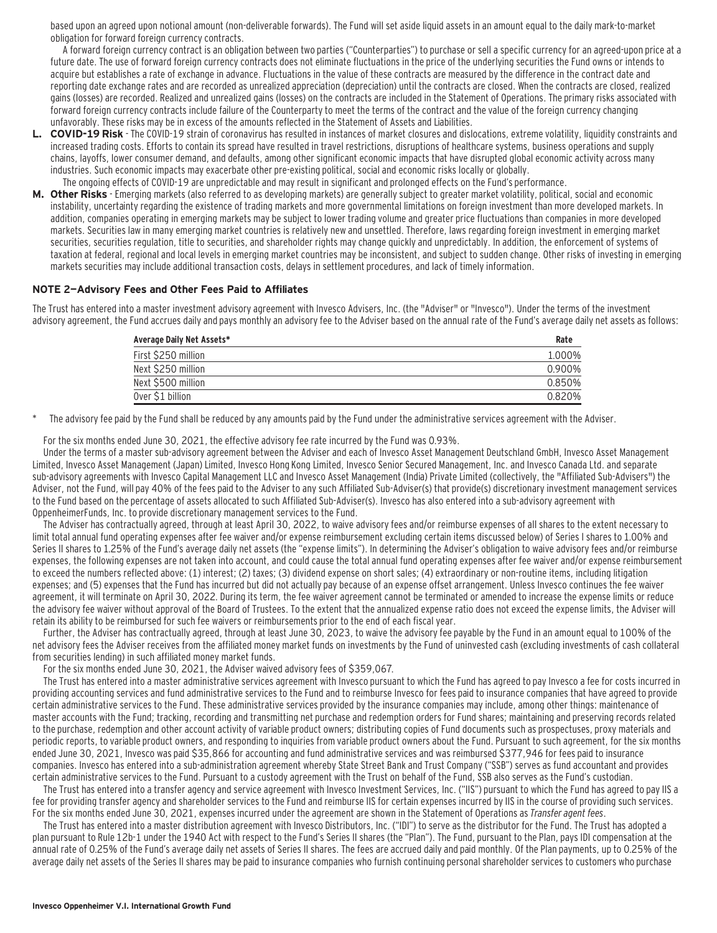based upon an agreed upon notional amount (non-deliverable forwards). The Fund will set aside liquid assets in an amount equal to the daily mark-to-market obligation for forward foreign currency contracts.

A forward foreign currency contract is an obligation between two parties ("Counterparties") to purchase or sell a specific currency for an agreed-upon price at a future date. The use of forward foreign currency contracts does not eliminate fluctuations in the price of the underlying securities the Fund owns or intends to acquire but establishes a rate of exchange in advance. Fluctuations in the value of these contracts are measured by the difference in the contract date and reporting date exchange rates and are recorded as unrealized appreciation (depreciation) until the contracts are closed. When the contracts are closed, realized gains (losses) are recorded. Realized and unrealized gains (losses) on the contracts are included in the Statement of Operations. The primary risks associated with forward foreign currency contracts include failure of the Counterparty to meet the terms of the contract and the value of the foreign currency changing unfavorably. These risks may be in excess of the amounts reflected in the Statement of Assets and Liabilities.

- **L. COVID-19 Risk**  The COVID-19 strain of coronavirus has resulted in instances of market closures and dislocations, extreme volatility, liquidity constraints and increased trading costs. Efforts to contain its spread have resulted in travel restrictions, disruptions of healthcare systems, business operations and supply chains, layoffs, lower consumer demand, and defaults, among other significant economic impacts that have disrupted global economic activity across many industries. Such economic impacts may exacerbate other pre-existing political, social and economic risks locally or globally. The ongoing effects of COVID-19 are unpredictable and may result in significant and prolonged effects on the Fund's performance.
- **M. Other Risks**  Emerging markets (also referred to as developing markets) are generally subject to greater market volatility, political, social and economic instability, uncertainty regarding the existence of trading markets and more governmental limitations on foreign investment than more developed markets. In addition, companies operating in emerging markets may be subject to lower trading volume and greater price fluctuations than companies in more developed markets. Securities law in many emerging market countries is relatively new and unsettled. Therefore, laws regarding foreign investment in emerging market securities, securities regulation, title to securities, and shareholder rights may change quickly and unpredictably. In addition, the enforcement of systems of taxation at federal, regional and local levels in emerging market countries may be inconsistent, and subject to sudden change. Other risks of investing in emerging markets securities may include additional transaction costs, delays in settlement procedures, and lack of timely information.

#### **NOTE 2—Advisory Fees and Other Fees Paid to Affiliates**

The Trust has entered into a master investment advisory agreement with Invesco Advisers, Inc. (the "Adviser" or "Invesco"). Under the terms of the investment advisory agreement, the Fund accrues daily and pays monthly an advisory fee to the Adviser based on the annual rate of the Fund's average daily net assets as follows:

| Average Daily Net Assets* | Rate   |
|---------------------------|--------|
| First \$250 million       | 1.000% |
| Next \$250 million        | 0.900% |
| Next \$500 million        | 0.850% |
| Over \$1 billion          | 0.820% |

\* The advisory fee paid by the Fund shall be reduced by any amounts paid by the Fund under the administrative services agreement with the Adviser.

For the six months ended June 30, 2021, the effective advisory fee rate incurred by the Fund was 0.93%.

Under the terms of a master sub-advisory agreement between the Adviser and each of Invesco Asset Management Deutschland GmbH, Invesco Asset Management Limited, Invesco Asset Management (Japan) Limited, Invesco Hong Kong Limited, Invesco Senior Secured Management, Inc. and Invesco Canada Ltd. and separate sub-advisory agreements with Invesco Capital Management LLC and Invesco Asset Management (India) Private Limited (collectively, the "Affiliated Sub-Advisers") the Adviser, not the Fund, will pay 40% of the fees paid to the Adviser to any such Affiliated Sub-Adviser(s) that provide(s) discretionary investment management services to the Fund based on the percentage of assets allocated to such Affiliated Sub-Adviser(s). Invesco has also entered into a sub-advisory agreement with OppenheimerFunds, Inc. to provide discretionary management services to the Fund.

The Adviser has contractually agreed, through at least April 30, 2022, to waive advisory fees and/or reimburse expenses of all shares to the extent necessary to limit total annual fund operating expenses after fee waiver and/or expense reimbursement excluding certain items discussed below) of Series I shares to 1.00% and Series II shares to 1.25% of the Fund's average daily net assets (the "expense limits"). In determining the Adviser's obligation to waive advisory fees and/or reimburse expenses, the following expenses are not taken into account, and could cause the total annual fund operating expenses after fee waiver and/or expense reimbursement to exceed the numbers reflected above: (1) interest; (2) taxes; (3) dividend expense on short sales; (4) extraordinary or non-routine items, including litigation expenses; and (5) expenses that the Fund has incurred but did not actually pay because of an expense offset arrangement. Unless Invesco continues the fee waiver agreement, it will terminate on April 30, 2022. During its term, the fee waiver agreement cannot be terminated or amended to increase the expense limits or reduce the advisory fee waiver without approval of the Board of Trustees. To the extent that the annualized expense ratio does not exceed the expense limits, the Adviser will retain its ability to be reimbursed for such fee waivers or reimbursements prior to the end of each fiscal year.

Further, the Adviser has contractually agreed, through at least June 30, 2023, to waive the advisory fee payable by the Fund in an amount equal to 100% of the net advisory fees the Adviser receives from the affiliated money market funds on investments by the Fund of uninvested cash (excluding investments of cash collateral from securities lending) in such affiliated money market funds.

For the six months ended June 30, 2021, the Adviser waived advisory fees of \$359,067.

The Trust has entered into a master administrative services agreement with Invesco pursuant to which the Fund has agreed to pay Invesco a fee for costs incurred in providing accounting services and fund administrative services to the Fund and to reimburse Invesco for fees paid to insurance companies that have agreed to provide certain administrative services to the Fund. These administrative services provided by the insurance companies may include, among other things: maintenance of master accounts with the Fund; tracking, recording and transmitting net purchase and redemption orders for Fund shares; maintaining and preserving records related to the purchase, redemption and other account activity of variable product owners; distributing copies of Fund documents such as prospectuses, proxy materials and periodic reports, to variable product owners, and responding to inquiries from variable product owners about the Fund. Pursuant to such agreement, for the six months ended June 30, 2021, Invesco was paid \$35,866 for accounting and fund administrative services and was reimbursed \$377,946 for fees paid to insurance companies. Invesco has entered into a sub-administration agreement whereby State Street Bank and Trust Company ("SSB") serves as fund accountant and provides certain administrative services to the Fund. Pursuant to a custody agreement with the Trust on behalf of the Fund, SSB also serves as the Fund's custodian.

The Trust has entered into a transfer agency and service agreement with Invesco Investment Services, Inc. ("IIS") pursuant to which the Fund has agreed to pay IIS a fee for providing transfer agency and shareholder services to the Fund and reimburse IIS for certain expenses incurred by IIS in the course of providing such services. For the six months ended June 30, 2021, expenses incurred under the agreement are shown in the Statement of Operations as Transfer agent fees.

The Trust has entered into a master distribution agreement with Invesco Distributors, Inc. ("IDI") to serve as the distributor for the Fund. The Trust has adopted a plan pursuant to Rule 12b-1 under the 1940 Act with respect to the Fund's Series II shares (the "Plan"). The Fund, pursuant to the Plan, pays IDI compensation at the annual rate of 0.25% of the Fund's average daily net assets of Series II shares. The fees are accrued daily and paid monthly. Of the Plan payments, up to 0.25% of the average daily net assets of the Series II shares may be paid to insurance companies who furnish continuing personal shareholder services to customers who purchase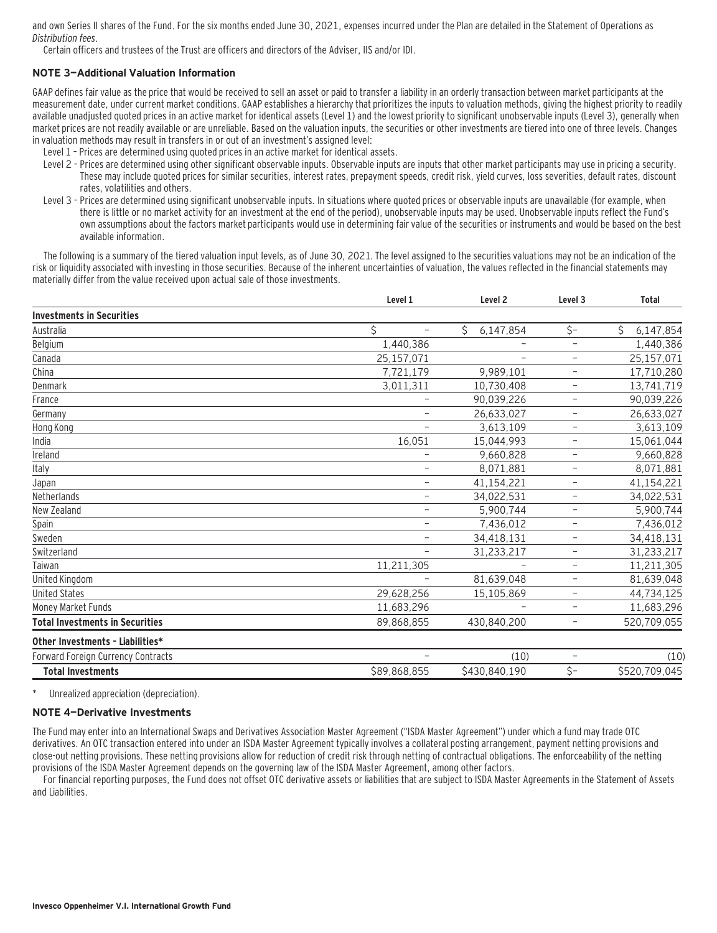and own Series II shares of the Fund. For the six months ended June 30, 2021, expenses incurred under the Plan are detailed in the Statement of Operations as Distribution fees.

Certain officers and trustees of the Trust are officers and directors of the Adviser, IIS and/or IDI.

#### **NOTE 3—Additional Valuation Information**

GAAP defines fair value as the price that would be received to sell an asset or paid to transfer a liability in an orderly transaction between market participants at the measurement date, under current market conditions. GAAP establishes a hierarchy that prioritizes the inputs to valuation methods, giving the highest priority to readily available unadjusted quoted prices in an active market for identical assets (Level 1) and the lowest priority to significant unobservable inputs (Level 3), generally when market prices are not readily available or are unreliable. Based on the valuation inputs, the securities or other investments are tiered into one of three levels. Changes in valuation methods may result in transfers in or out of an investment's assigned level:

- Level 1 Prices are determined using quoted prices in an active market for identical assets.
- Level 2 Prices are determined using other significant observable inputs. Observable inputs that other market participants may use in pricing a security. These may include quoted prices for similar securities, interest rates, prepayment speeds, credit risk, yield curves, loss severities, default rates, discount rates, volatilities and others.
- Level 3 Prices are determined using significant unobservable inputs. In situations where quoted prices or observable inputs are unavailable (for example, when there is little or no market activity for an investment at the end of the period), unobservable inputs may be used. Unobservable inputs reflect the Fund's own assumptions about the factors market participants would use in determining fair value of the securities or instruments and would be based on the best available information.

The following is a summary of the tiered valuation input levels, as of June 30, 2021. The level assigned to the securities valuations may not be an indication of the risk or liquidity associated with investing in those securities. Because of the inherent uncertainties of valuation, the values reflected in the financial statements may materially differ from the value received upon actual sale of those investments.

|                                           | Level 1                        | Level <sub>2</sub> | Level <sub>3</sub>       | <b>Total</b>   |  |
|-------------------------------------------|--------------------------------|--------------------|--------------------------|----------------|--|
| <b>Investments in Securities</b>          |                                |                    |                          |                |  |
| Australia                                 | \$<br>$\overline{\phantom{0}}$ | Ś<br>6,147,854     | \$-                      | Ś<br>6,147,854 |  |
| Belgium                                   | 1,440,386                      |                    | $\overline{\phantom{0}}$ | 1,440,386      |  |
| Canada                                    | 25,157,071                     |                    | $\overline{\phantom{a}}$ | 25,157,071     |  |
| China                                     | 7,721,179                      | 9,989,101          | $\overline{\phantom{a}}$ | 17,710,280     |  |
| Denmark                                   | 3,011,311                      | 10,730,408         | $\qquad \qquad -$        | 13,741,719     |  |
| France                                    | -                              | 90,039,226         | $\overline{\phantom{a}}$ | 90,039,226     |  |
| Germany                                   |                                | 26,633,027         | $\overline{\phantom{a}}$ | 26,633,027     |  |
| Hong Kong                                 |                                | 3,613,109          | $\qquad \qquad -$        | 3,613,109      |  |
| India                                     | 16,051                         | 15,044,993         | $\overline{\phantom{a}}$ | 15,061,044     |  |
| Ireland                                   | -                              | 9,660,828          | $\overline{\phantom{a}}$ | 9,660,828      |  |
| Italy                                     | -                              | 8,071,881          | $\qquad \qquad -$        | 8,071,881      |  |
| Japan                                     | $\overline{\phantom{a}}$       | 41,154,221         | $\overline{\phantom{0}}$ | 41,154,221     |  |
| Netherlands                               | -                              | 34,022,531         | $\overline{\phantom{a}}$ | 34,022,531     |  |
| New Zealand                               | -                              | 5,900,744          | $\overline{\phantom{a}}$ | 5,900,744      |  |
| Spain                                     | $\overline{\phantom{a}}$       | 7,436,012          | $\overline{\phantom{a}}$ | 7,436,012      |  |
| Sweden                                    | $\overline{\phantom{0}}$       | 34,418,131         | $\overline{\phantom{a}}$ | 34,418,131     |  |
| Switzerland                               |                                | 31,233,217         | $\overline{\phantom{a}}$ | 31,233,217     |  |
| Taiwan                                    | 11,211,305                     |                    | $\overline{\phantom{m}}$ | 11,211,305     |  |
| United Kingdom                            |                                | 81,639,048         | -                        | 81,639,048     |  |
| <b>United States</b>                      | 29,628,256                     | 15,105,869         | $\qquad \qquad -$        | 44,734,125     |  |
| Money Market Funds                        | 11,683,296                     |                    | $\overline{\phantom{m}}$ | 11,683,296     |  |
| <b>Total Investments in Securities</b>    | 89,868,855                     | 430.840.200        | $\overline{\phantom{a}}$ | 520,709,055    |  |
| Other Investments - Liabilities*          |                                |                    |                          |                |  |
| <b>Forward Foreign Currency Contracts</b> |                                | (10)               | $\qquad \qquad -$        | (10)           |  |
| <b>Total Investments</b>                  | \$89,868,855                   | \$430,840,190      | \$-                      | \$520,709,045  |  |

\* Unrealized appreciation (depreciation).

#### **NOTE 4—Derivative Investments**

The Fund may enter into an International Swaps and Derivatives Association Master Agreement ("ISDA Master Agreement") under which a fund may trade OTC derivatives. An OTC transaction entered into under an ISDA Master Agreement typically involves a collateral posting arrangement, payment netting provisions and close-out netting provisions. These netting provisions allow for reduction of credit risk through netting of contractual obligations. The enforceability of the netting provisions of the ISDA Master Agreement depends on the governing law of the ISDA Master Agreement, among other factors.

For financial reporting purposes, the Fund does not offset OTC derivative assets or liabilities that are subject to ISDA Master Agreements in the Statement of Assets and Liabilities.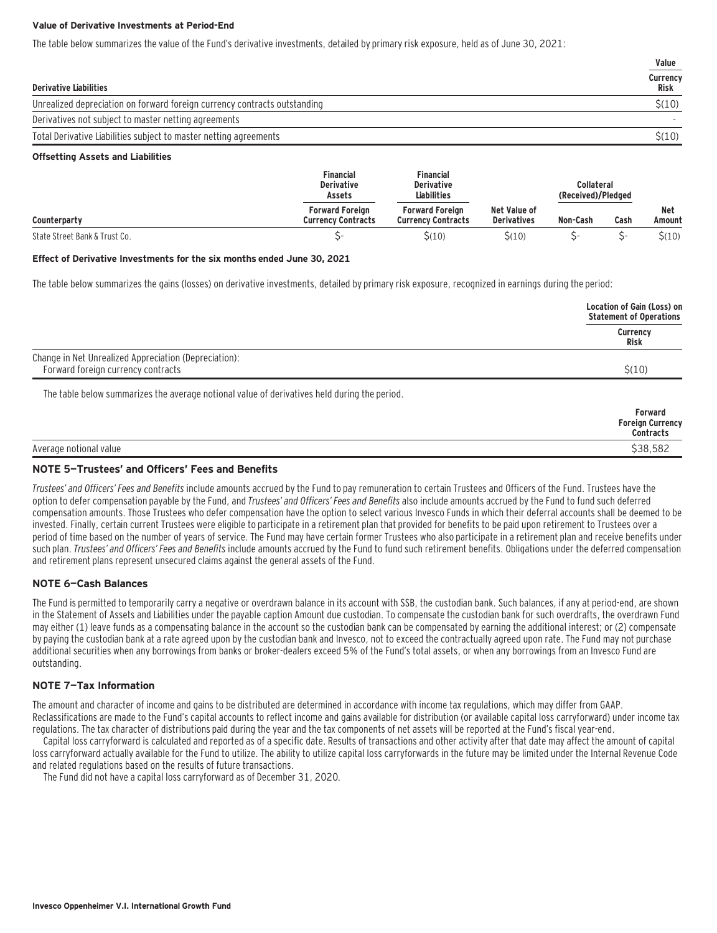#### **Value of Derivative Investments at Period-End**

The table below summarizes the value of the Fund's derivative investments, detailed by primary risk exposure, held as of June 30, 2021:

|                                                                           | Value            |
|---------------------------------------------------------------------------|------------------|
| <b>Derivative Liabilities</b>                                             | Currency<br>Risk |
| Unrealized depreciation on forward foreign currency contracts outstanding | \$(10)           |
| Derivatives not subject to master netting agreements                      |                  |
| Total Derivative Liabilities subject to master netting agreements         | \$(10)           |

#### **Offsetting Assets and Liabilities**

|                               | <b>Financial</b><br><b>Derivative</b><br>Assets     | Financial<br><b>Derivative</b><br><b>Liabilities</b> |                                    | Collateral<br>(Received)/Pledged |      |                      |
|-------------------------------|-----------------------------------------------------|------------------------------------------------------|------------------------------------|----------------------------------|------|----------------------|
| Counterparty                  | <b>Forward Foreign</b><br><b>Currency Contracts</b> | <b>Forward Foreign</b><br><b>Currency Contracts</b>  | Net Value of<br><b>Derivatives</b> | Non-Cash                         | Cash | <b>Net</b><br>Amount |
| State Street Bank & Trust Co. |                                                     | \$(10)                                               | $\zeta(10)$                        |                                  | ``   | $\zeta(10)$          |

#### **Effect of Derivative Investments for the six months ended June 30, 2021**

The table below summarizes the gains (losses) on derivative investments, detailed by primary risk exposure, recognized in earnings during the period:

|                                                                                              | Location of Gain (Loss) on<br><b>Statement of Operations</b> |
|----------------------------------------------------------------------------------------------|--------------------------------------------------------------|
|                                                                                              | Currency<br>Risk                                             |
| Change in Net Unrealized Appreciation (Depreciation):<br>Forward foreign currency contracts  | \$(10)                                                       |
| The table below summarizes the average notional value of derivatives held during the period. |                                                              |
|                                                                                              | Forward<br><b>Foreign Currency</b><br><b>Contracts</b>       |

Average notional value \$38,582

### **NOTE 5—Trustees' and Officers' Fees and Benefits**

Trustees' and Officers' Fees and Benefits include amounts accrued by the Fund to pay remuneration to certain Trustees and Officers of the Fund. Trustees have the option to defer compensation payable by the Fund, and Trustees' and Officers' Fees and Benefits also include amounts accrued by the Fund to fund such deferred compensation amounts. Those Trustees who defer compensation have the option to select various Invesco Funds in which their deferral accounts shall be deemed to be invested. Finally, certain current Trustees were eligible to participate in a retirement plan that provided for benefits to be paid upon retirement to Trustees over a period of time based on the number of years of service. The Fund may have certain former Trustees who also participate in a retirement plan and receive benefits under such plan. Trustees' and Officers' Fees and Benefits include amounts accrued by the Fund to fund such retirement benefits. Obligations under the deferred compensation and retirement plans represent unsecured claims against the general assets of the Fund.

#### **NOTE 6—Cash Balances**

The Fund is permitted to temporarily carry a negative or overdrawn balance in its account with SSB, the custodian bank. Such balances, if any at period-end, are shown in the Statement of Assets and Liabilities under the payable caption Amount due custodian. To compensate the custodian bank for such overdrafts, the overdrawn Fund may either (1) leave funds as a compensating balance in the account so the custodian bank can be compensated by earning the additional interest; or (2) compensate by paying the custodian bank at a rate agreed upon by the custodian bank and Invesco, not to exceed the contractually agreed upon rate. The Fund may not purchase additional securities when any borrowings from banks or broker-dealers exceed 5% of the Fund's total assets, or when any borrowings from an Invesco Fund are outstanding.

#### **NOTE 7—Tax Information**

The amount and character of income and gains to be distributed are determined in accordance with income tax regulations, which may differ from GAAP. Reclassifications are made to the Fund's capital accounts to reflect income and gains available for distribution (or available capital loss carryforward) under income tax regulations. The tax character of distributions paid during the year and the tax components of net assets will be reported at the Fund's fiscal year-end.

Capital loss carryforward is calculated and reported as of a specific date. Results of transactions and other activity after that date may affect the amount of capital loss carryforward actually available for the Fund to utilize. The ability to utilize capital loss carryforwards in the future may be limited under the Internal Revenue Code and related regulations based on the results of future transactions.

The Fund did not have a capital loss carryforward as of December 31, 2020.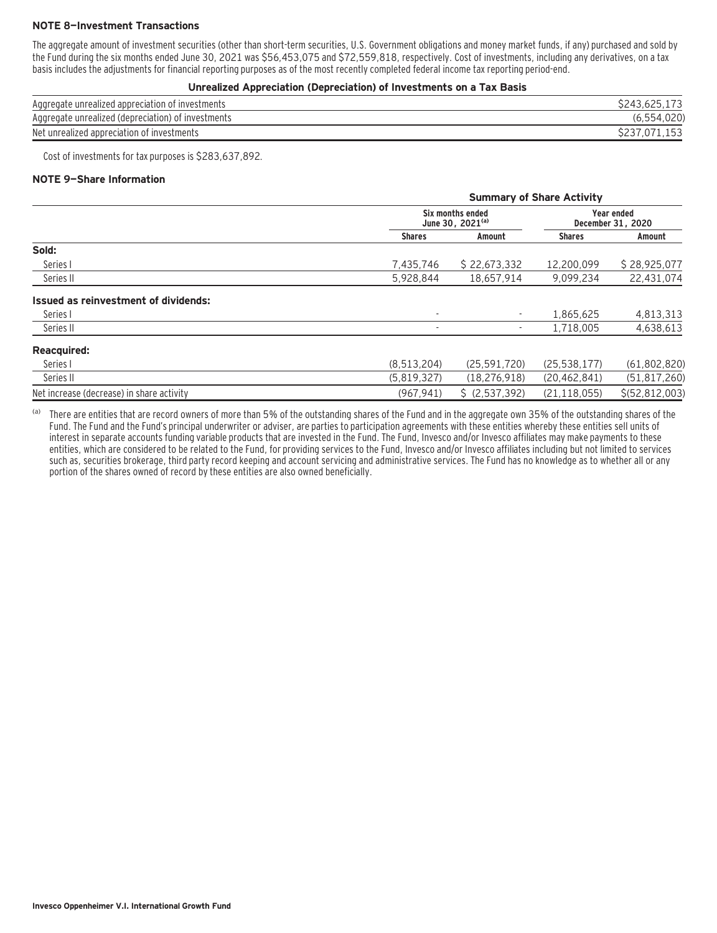#### **NOTE 8—Investment Transactions**

The aggregate amount of investment securities (other than short-term securities, U.S. Government obligations and money market funds, if any) purchased and sold by the Fund during the six months ended June 30, 2021 was \$56,453,075 and \$72,559,818, respectively. Cost of investments, including any derivatives, on a tax basis includes the adjustments for financial reporting purposes as of the most recently completed federal income tax reporting period-end.

#### **Unrealized Appreciation (Depreciation) of Investments on a Tax Basis**

| Aggregate unrealized appreciation of investments   | S243.625.173 |
|----------------------------------------------------|--------------|
| Aggregate unrealized (depreciation) of investments | (6.554.020)  |
| Net unrealized appreciation of investments         | S237.071.153 |

Cost of investments for tax purposes is \$283,637,892.

#### **NOTE 9—Share Information**

|                                           | <b>Summary of Share Activity</b> |                                                  |                |                                        |  |  |
|-------------------------------------------|----------------------------------|--------------------------------------------------|----------------|----------------------------------------|--|--|
|                                           |                                  | Six months ended<br>June 30, 2021 <sup>(a)</sup> |                | <b>Year ended</b><br>December 31, 2020 |  |  |
|                                           | <b>Shares</b>                    | Amount                                           | <b>Shares</b>  | Amount                                 |  |  |
| Sold:                                     |                                  |                                                  |                |                                        |  |  |
| Series I                                  | 7,435,746                        | \$22,673,332                                     | 12.200.099     | \$28,925,077                           |  |  |
| Series II                                 | 5,928,844                        | 18.657.914                                       | 9,099,234      | 22,431,074                             |  |  |
| Issued as reinvestment of dividends:      |                                  |                                                  |                |                                        |  |  |
| Series I                                  |                                  |                                                  | 1.865.625      | 4,813,313                              |  |  |
| Series II                                 |                                  |                                                  | 1,718,005      | 4,638,613                              |  |  |
| <b>Reacquired:</b>                        |                                  |                                                  |                |                                        |  |  |
| Series I                                  | (8,513,204)                      | (25, 591, 720)                                   | (25, 538, 177) | (61,802,820)                           |  |  |
| Series II                                 | (5,819,327)                      | (18, 276, 918)                                   | (20, 462, 841) | (51, 817, 260)                         |  |  |
| Net increase (decrease) in share activity | (967, 941)                       | \$ (2.537.392)                                   | (21, 118, 055) | \$(52.812.003)                         |  |  |

(a) There are entities that are record owners of more than 5% of the outstanding shares of the Fund and in the aggregate own 35% of the outstanding shares of the Fund. The Fund and the Fund's principal underwriter or adviser, are parties to participation agreements with these entities whereby these entities sell units of interest in separate accounts funding variable products that are invested in the Fund. The Fund, Invesco and/or Invesco affiliates may make payments to these entities, which are considered to be related to the Fund, for providing services to the Fund, Invesco and/or Invesco affiliates including but not limited to services such as, securities brokerage, third party record keeping and account servicing and administrative services. The Fund has no knowledge as to whether all or any portion of the shares owned of record by these entities are also owned beneficially.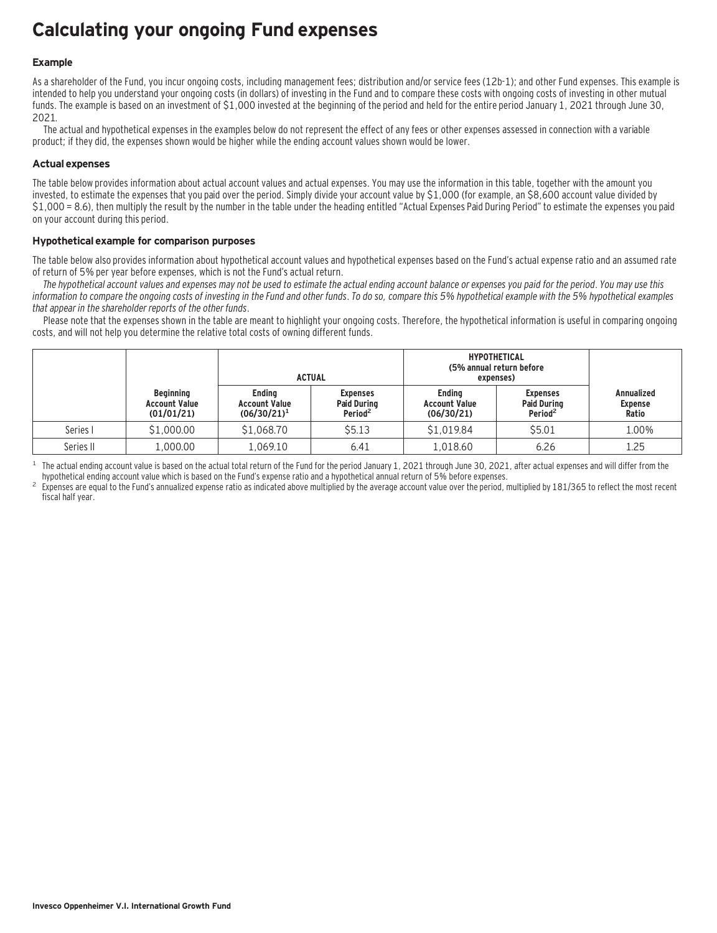## **Calculating your ongoing Fund expenses**

#### **Example**

As a shareholder of the Fund, you incur ongoing costs, including management fees; distribution and/or service fees (12b-1); and other Fund expenses. This example is intended to help you understand your ongoing costs (in dollars) of investing in the Fund and to compare these costs with ongoing costs of investing in other mutual funds. The example is based on an investment of \$1,000 invested at the beginning of the period and held for the entire period January 1, 2021 through June 30, 2021.

The actual and hypothetical expenses in the examples below do not represent the effect of any fees or other expenses assessed in connection with a variable product; if they did, the expenses shown would be higher while the ending account values shown would be lower.

#### **Actual expenses**

The table below provides information about actual account values and actual expenses. You may use the information in this table, together with the amount you invested, to estimate the expenses that you paid over the period. Simply divide your account value by \$1,000 (for example, an \$8,600 account value divided by \$1,000 = 8.6), then multiply the result by the number in the table under the heading entitled "Actual Expenses Paid During Period" to estimate the expenses you paid on your account during this period.

#### **Hypothetical example for comparison purposes**

The table below also provides information about hypothetical account values and hypothetical expenses based on the Fund's actual expense ratio and an assumed rate of return of 5% per year before expenses, which is not the Fund's actual return.

The hypothetical account values and expenses may not be used to estimate the actual ending account balance or expenses you paid for the period. You may use this information to compare the ongoing costs of investing in the Fund and other funds. To do so, compare this 5% hypothetical example with the 5% hypothetical examples that appear in the shareholder reports of the other funds.

Please note that the expenses shown in the table are meant to highlight your ongoing costs. Therefore, the hypothetical information is useful in comparing ongoing costs, and will not help you determine the relative total costs of owning different funds.

|           |                                                        |                                                         | <b>ACTUAL</b>                                                | <b>HYPOTHETICAL</b><br>(5% annual return before<br>expenses) |                                                              |                                              |
|-----------|--------------------------------------------------------|---------------------------------------------------------|--------------------------------------------------------------|--------------------------------------------------------------|--------------------------------------------------------------|----------------------------------------------|
|           | <b>Beginning</b><br><b>Account Value</b><br>(01/01/21) | <b>Endina</b><br><b>Account Value</b><br>$(06/30/21)^1$ | <b>Expenses</b><br><b>Paid During</b><br>Period <sup>2</sup> | <b>Endina</b><br><b>Account Value</b><br>(06/30/21)          | <b>Expenses</b><br><b>Paid During</b><br>Period <sup>2</sup> | <b>Annualized</b><br><b>Expense</b><br>Ratio |
| Series I  | \$1,000.00                                             | \$1,068.70                                              | \$5.13                                                       | \$1,019.84                                                   | \$5.01                                                       | 1.00%                                        |
| Series II | 1,000.00                                               | 1.069.10                                                | 6.41                                                         | 1,018.60                                                     | 6.26                                                         | 1.25                                         |

<sup>1</sup> The actual ending account value is based on the actual total return of the Fund for the period January 1, 2021 through June 30, 2021, after actual expenses and will differ from the hund's expense ratio and a hypothetic

Expenses are equal to the Fund's annualized expense ratio as indicated above multiplied by the average account value over the period, multiplied by 181/365 to reflect the most recent fiscal half year.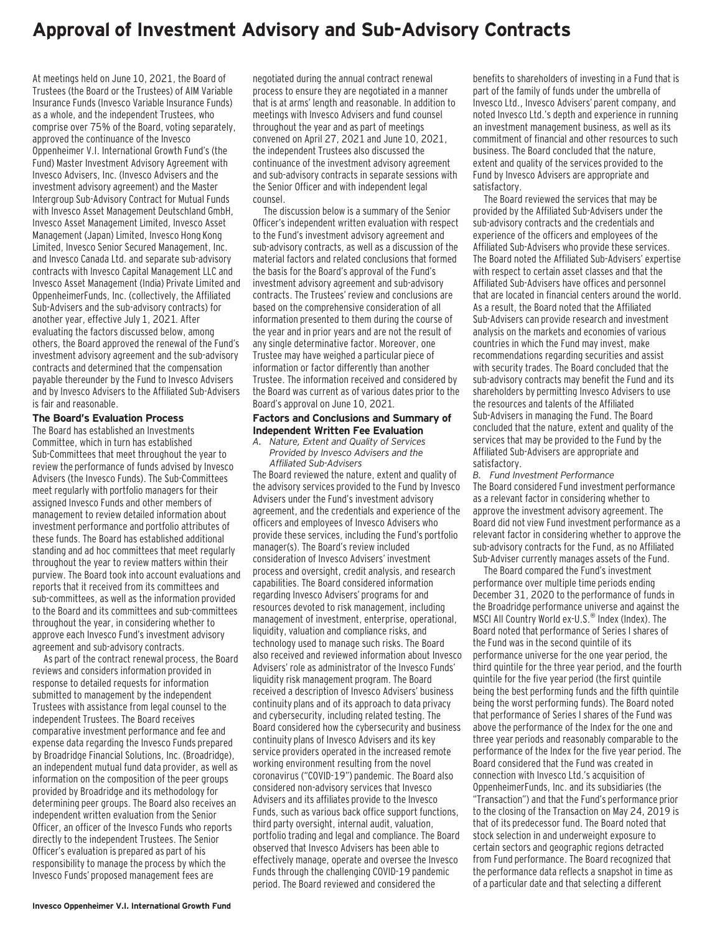### **Approval of Investment Advisory and Sub-Advisory Contracts**

At meetings held on June 10, 2021, the Board of Trustees (the Board or the Trustees) of AIM Variable Insurance Funds (Invesco Variable Insurance Funds) as a whole, and the independent Trustees, who comprise over 75% of the Board, voting separately, approved the continuance of the Invesco Oppenheimer V.I. International Growth Fund's (the Fund) Master Investment Advisory Agreement with Invesco Advisers, Inc. (Invesco Advisers and the investment advisory agreement) and the Master Intergroup Sub-Advisory Contract for Mutual Funds with Invesco Asset Management Deutschland GmbH, Invesco Asset Management Limited, Invesco Asset Management (Japan) Limited, Invesco Hong Kong Limited, Invesco Senior Secured Management, Inc. and Invesco Canada Ltd. and separate sub-advisory contracts with Invesco Capital Management LLC and Invesco Asset Management (India) Private Limited and OppenheimerFunds, Inc. (collectively, the Affiliated Sub-Advisers and the sub-advisory contracts) for another year, effective July 1, 2021. After evaluating the factors discussed below, among others, the Board approved the renewal of the Fund's investment advisory agreement and the sub-advisory contracts and determined that the compensation payable thereunder by the Fund to Invesco Advisers and by Invesco Advisers to the Affiliated Sub-Advisers is fair and reasonable.

#### **The Board's Evaluation Process**

The Board has established an Investments Committee, which in turn has established Sub-Committees that meet throughout the year to review the performance of funds advised by Invesco Advisers (the Invesco Funds). The Sub-Committees meet regularly with portfolio managers for their assigned Invesco Funds and other members of management to review detailed information about investment performance and portfolio attributes of these funds. The Board has established additional standing and ad hoc committees that meet regularly throughout the year to review matters within their purview. The Board took into account evaluations and reports that it received from its committees and sub-committees, as well as the information provided to the Board and its committees and sub-committees throughout the year, in considering whether to approve each Invesco Fund's investment advisory agreement and sub-advisory contracts.

As part of the contract renewal process, the Board reviews and considers information provided in response to detailed requests for information submitted to management by the independent Trustees with assistance from legal counsel to the independent Trustees. The Board receives comparative investment performance and fee and expense data regarding the Invesco Funds prepared by Broadridge Financial Solutions, Inc. (Broadridge), an independent mutual fund data provider, as well as information on the composition of the peer groups provided by Broadridge and its methodology for determining peer groups. The Board also receives an independent written evaluation from the Senior Officer, an officer of the Invesco Funds who reports directly to the independent Trustees. The Senior Officer's evaluation is prepared as part of his responsibility to manage the process by which the Invesco Funds' proposed management fees are

negotiated during the annual contract renewal process to ensure they are negotiated in a manner that is at arms' length and reasonable. In addition to meetings with Invesco Advisers and fund counsel throughout the year and as part of meetings convened on April 27, 2021 and June 10, 2021, the independent Trustees also discussed the continuance of the investment advisory agreement and sub-advisory contracts in separate sessions with the Senior Officer and with independent legal counsel.

The discussion below is a summary of the Senior Officer's independent written evaluation with respect to the Fund's investment advisory agreement and sub-advisory contracts, as well as a discussion of the material factors and related conclusions that formed the basis for the Board's approval of the Fund's investment advisory agreement and sub-advisory contracts. The Trustees' review and conclusions are based on the comprehensive consideration of all information presented to them during the course of the year and in prior years and are not the result of any single determinative factor. Moreover, one Trustee may have weighed a particular piece of information or factor differently than another Trustee. The information received and considered by the Board was current as of various dates prior to the Board's approval on June 10, 2021.

#### **Factors and Conclusions and Summary of Independent Written Fee Evaluation**

*A. Nature, Extent and Quality of Services Provided by Invesco Advisers and the Affiliated Sub-Advisers*

The Board reviewed the nature, extent and quality of the advisory services provided to the Fund by Invesco Advisers under the Fund's investment advisory agreement, and the credentials and experience of the officers and employees of Invesco Advisers who provide these services, including the Fund's portfolio manager(s). The Board's review included consideration of Invesco Advisers' investment process and oversight, credit analysis, and research capabilities. The Board considered information regarding Invesco Advisers' programs for and resources devoted to risk management, including management of investment, enterprise, operational, liquidity, valuation and compliance risks, and technology used to manage such risks. The Board also received and reviewed information about Invesco Advisers' role as administrator of the Invesco Funds' liquidity risk management program. The Board received a description of Invesco Advisers' business continuity plans and of its approach to data privacy and cybersecurity, including related testing. The Board considered how the cybersecurity and business continuity plans of Invesco Advisers and its key service providers operated in the increased remote working environment resulting from the novel coronavirus ("COVID-19") pandemic. The Board also considered non-advisory services that Invesco Advisers and its affiliates provide to the Invesco Funds, such as various back office support functions, third party oversight, internal audit, valuation, portfolio trading and legal and compliance. The Board observed that Invesco Advisers has been able to effectively manage, operate and oversee the Invesco Funds through the challenging COVID-19 pandemic period. The Board reviewed and considered the

benefits to shareholders of investing in a Fund that is part of the family of funds under the umbrella of Invesco Ltd., Invesco Advisers' parent company, and noted Invesco Ltd.'s depth and experience in running an investment management business, as well as its commitment of financial and other resources to such business. The Board concluded that the nature, extent and quality of the services provided to the Fund by Invesco Advisers are appropriate and satisfactory.

The Board reviewed the services that may be provided by the Affiliated Sub-Advisers under the sub-advisory contracts and the credentials and experience of the officers and employees of the Affiliated Sub-Advisers who provide these services. The Board noted the Affiliated Sub-Advisers' expertise with respect to certain asset classes and that the Affiliated Sub-Advisers have offices and personnel that are located in financial centers around the world. As a result, the Board noted that the Affiliated Sub-Advisers can provide research and investment analysis on the markets and economies of various countries in which the Fund may invest, make recommendations regarding securities and assist with security trades. The Board concluded that the sub-advisory contracts may benefit the Fund and its shareholders by permitting Invesco Advisers to use the resources and talents of the Affiliated Sub-Advisers in managing the Fund. The Board concluded that the nature, extent and quality of the services that may be provided to the Fund by the Affiliated Sub-Advisers are appropriate and satisfactory.

*B. Fund Investment Performance* The Board considered Fund investment performance as a relevant factor in considering whether to approve the investment advisory agreement. The Board did not view Fund investment performance as a relevant factor in considering whether to approve the sub-advisory contracts for the Fund, as no Affiliated Sub-Adviser currently manages assets of the Fund.

The Board compared the Fund's investment performance over multiple time periods ending December 31, 2020 to the performance of funds in the Broadridge performance universe and against the MSCI All Country World ex-U.S.® Index (Index). The Board noted that performance of Series I shares of the Fund was in the second quintile of its performance universe for the one year period, the third quintile for the three year period, and the fourth quintile for the five year period (the first quintile being the best performing funds and the fifth quintile being the worst performing funds). The Board noted that performance of Series I shares of the Fund was above the performance of the Index for the one and three year periods and reasonably comparable to the performance of the Index for the five year period. The Board considered that the Fund was created in connection with Invesco Ltd.'s acquisition of OppenheimerFunds, Inc. and its subsidiaries (the "Transaction") and that the Fund's performance prior to the closing of the Transaction on May 24, 2019 is that of its predecessor fund. The Board noted that stock selection in and underweight exposure to certain sectors and geographic regions detracted from Fund performance. The Board recognized that the performance data reflects a snapshot in time as of a particular date and that selecting a different